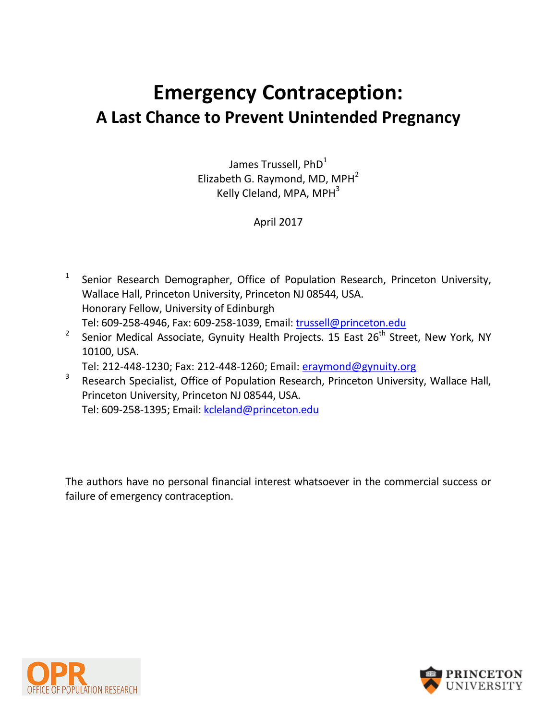# **Emergency Contraception: A Last Chance to Prevent Unintended Pregnancy**

James Trussell, PhD<sup>1</sup> Elizabeth G. Raymond, MD, MPH $<sup>2</sup>$ </sup> Kelly Cleland, MPA, MPH<sup>3</sup>

## April 2017

- 1 Senior Research Demographer, Office of Population Research, Princeton University, Wallace Hall, Princeton University, Princeton NJ 08544, USA. Honorary Fellow, University of Edinburgh Tel: 609-258-4946, Fax: 609-258-1039, Email: [trussell@princeton.edu](mailto:trussell@princeton.edu)
- 2 Senior Medical Associate, Gynuity Health Projects. 15 East 26<sup>th</sup> Street, New York, NY 10100, USA.

Tel: 212-448-1230; Fax: 212-448-1260; Email: [eraymond@gynuity.org](mailto:eraymond@gynuity.org)

3 Research Specialist, Office of Population Research, Princeton University, Wallace Hall, Princeton University, Princeton NJ 08544, USA. Tel: 609-258-1395; Email: [kcleland@princeton.edu](mailto:kcleland@princeton.edu)

The authors have no personal financial interest whatsoever in the commercial success or failure of emergency contraception.



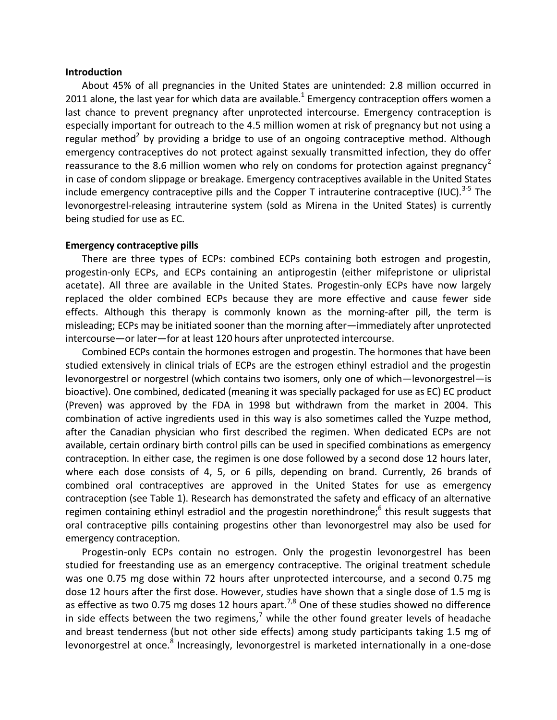#### **Introduction**

<span id="page-1-0"></span>About 45% of all pregnancies in the United States are unintended: 2.8 million occurred in 2011 alone, the last year for which data are available.<sup>1</sup> Emergency contraception offers women a last chance to prevent pregnancy after unprotected intercourse. Emergency contraception is especially important for outreach to the 4.5 million women at risk of pregnancy but not using a regular method<sup>2</sup> by providing a bridge to use of an ongoing contraceptive method. Although emergency contraceptives do not protect against sexually transmitted infection, they do offer reassurance to the 8.6 million women who rely on condoms for protection against pregnancy<sup>[2](#page-1-0)</sup> in case of condom slippage or breakage. Emergency contraceptives available in the United States include emergency contraceptive pills and the Copper T intrauterine contraceptive (IUC).<sup>3-5</sup> The levonorgestrel-releasing intrauterine system (sold as Mirena in the United States) is currently being studied for use as EC.

#### <span id="page-1-4"></span>**Emergency contraceptive pills**

There are three types of ECPs: combined ECPs containing both estrogen and progestin, progestin-only ECPs, and ECPs containing an antiprogestin (either mifepristone or ulipristal acetate). All three are available in the United States. Progestin-only ECPs have now largely replaced the older combined ECPs because they are more effective and cause fewer side effects. Although this therapy is commonly known as the morning-after pill, the term is misleading; ECPs may be initiated sooner than the morning after—immediately after unprotected intercourse—or later—for at least 120 hours after unprotected intercourse.

Combined ECPs contain the hormones estrogen and progestin. The hormones that have been studied extensively in clinical trials of ECPs are the estrogen ethinyl estradiol and the progestin levonorgestrel or norgestrel (which contains two isomers, only one of which—levonorgestrel—is bioactive). One combined, dedicated (meaning it was specially packaged for use as EC) EC product (Preven) was approved by the FDA in 1998 but withdrawn from the market in 2004. This combination of active ingredients used in this way is also sometimes called the Yuzpe method, after the Canadian physician who first described the regimen. When dedicated ECPs are not available, certain ordinary birth control pills can be used in specified combinations as emergency contraception. In either case, the regimen is one dose followed by a second dose 12 hours later, where each dose consists of 4, 5, or 6 pills, depending on brand. Currently, 26 brands of combined oral contraceptives are approved in the United States for use as emergency contraception (see Table 1). Research has demonstrated the safety and efficacy of an alternative regimen containing ethinyl estradiol and the progestin norethindrone;<sup>6</sup> this result suggests that oral contraceptive pills containing progestins other than levonorgestrel may also be used for emergency contraception.

<span id="page-1-3"></span><span id="page-1-2"></span><span id="page-1-1"></span>Progestin-only ECPs contain no estrogen. Only the progestin levonorgestrel has been studied for freestanding use as an emergency contraceptive. The original treatment schedule was one 0.75 mg dose within 72 hours after unprotected intercourse, and a second 0.75 mg dose 12 hours after the first dose. However, studies have shown that a single dose of 1.5 mg is as effective as two 0.75 mg doses 12 hours apart.<sup>7,8</sup> One of these studies showed no difference in side effects between the two regimens,<sup>[7](#page-1-1)</sup> while the other found greater levels of headache and breast tenderness (but not other side effects) among study participants taking 1.5 mg of levonorgestrel at once.<sup>[8](#page-1-2)</sup> Increasingly, levonorgestrel is marketed internationally in a one-dose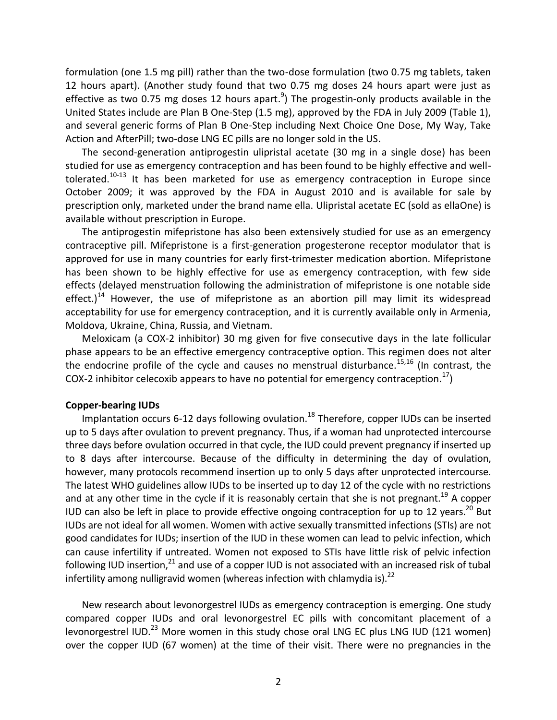<span id="page-2-3"></span>formulation (one 1.5 mg pill) rather than the two-dose formulation (two 0.75 mg tablets, taken 12 hours apart). (Another study found that two 0.75 mg doses 24 hours apart were just as effective as two 0.75 mg doses 12 hours apart.<sup>9</sup>) The progestin-only products available in the United States include are Plan B One-Step (1.5 mg), approved by the FDA in July 2009 (Table 1), and several generic forms of Plan B One-Step including Next Choice One Dose, My Way, Take Action and AfterPill; two-dose LNG EC pills are no longer sold in the US.

<span id="page-2-1"></span><span id="page-2-0"></span>The second-generation antiprogestin ulipristal acetate (30 mg in a single dose) has been studied for use as emergency contraception and has been found to be highly effective and welltolerated.<sup>10-13</sup> It has been marketed for use as emergency contraception in Europe since October 2009; it was approved by the FDA in August 2010 and is available for sale by prescription only, marketed under the brand name ella. Ulipristal acetate EC (sold as ellaOne) is available without prescription in Europe.

The antiprogestin mifepristone has also been extensively studied for use as an emergency contraceptive pill. Mifepristone is a first-generation progesterone receptor modulator that is approved for use in many countries for early first-trimester medication abortion. Mifepristone has been shown to be highly effective for use as emergency contraception, with few side effects (delayed menstruation following the administration of mifepristone is one notable side effect.)<sup>14</sup> However, the use of mifepristone as an abortion pill may limit its widespread acceptability for use for emergency contraception, and it is currently available only in Armenia, Moldova, Ukraine, China, Russia, and Vietnam.

<span id="page-2-2"></span>Meloxicam (a COX-2 inhibitor) 30 mg given for five consecutive days in the late follicular phase appears to be an effective emergency contraceptive option. This regimen does not alter the endocrine profile of the cycle and causes no menstrual disturbance.<sup>15,16</sup> (In contrast, the COX-2 inhibitor celecoxib appears to have no potential for emergency contraception.<sup>17</sup>)

#### **Copper-bearing IUDs**

Implantation occurs 6-12 days following ovulation.<sup>18</sup> Therefore, copper IUDs can be inserted up to 5 days after ovulation to prevent pregnancy. Thus, if a woman had unprotected intercourse three days before ovulation occurred in that cycle, the IUD could prevent pregnancy if inserted up to 8 days after intercourse. Because of the difficulty in determining the day of ovulation, however, many protocols recommend insertion up to only 5 days after unprotected intercourse. The latest WHO guidelines allow IUDs to be inserted up to day 12 of the cycle with no restrictions and at any other time in the cycle if it is reasonably certain that she is not pregnant.<sup>19</sup> A copper IUD can also be left in place to provide effective ongoing contraception for up to 12 years.<sup>20</sup> But IUDs are not ideal for all women. Women with active sexually transmitted infections (STIs) are not good candidates for IUDs; insertion of the IUD in these women can lead to pelvic infection, which can cause infertility if untreated. Women not exposed to STIs have little risk of pelvic infection following IUD insertion, $^{21}$  and use of a copper IUD is not associated with an increased risk of tubal infertility among nulligravid women (whereas infection with chlamydia is). $^{22}$ 

New research about levonorgestrel IUDs as emergency contraception is emerging. One study compared copper IUDs and oral levonorgestrel EC pills with concomitant placement of a levonorgestrel IUD.<sup>23</sup> More women in this study chose oral LNG EC plus LNG IUD (121 women) over the copper IUD (67 women) at the time of their visit. There were no pregnancies in the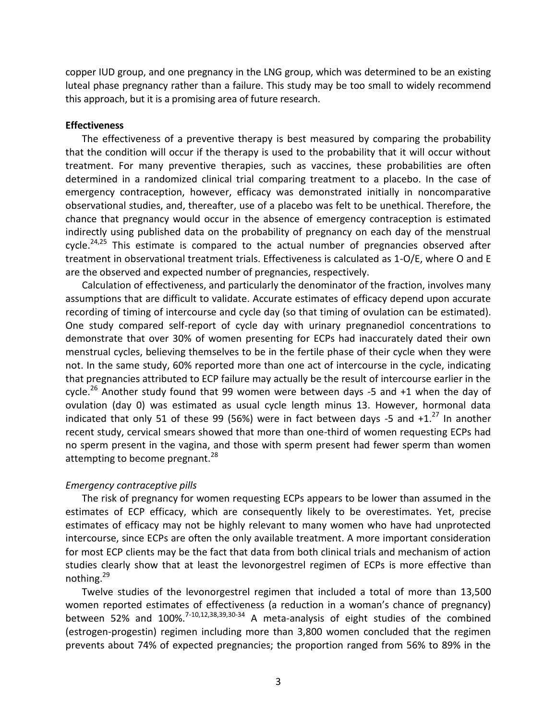copper IUD group, and one pregnancy in the LNG group, which was determined to be an existing luteal phase pregnancy rather than a failure. This study may be too small to widely recommend this approach, but it is a promising area of future research.

#### **Effectiveness**

The effectiveness of a preventive therapy is best measured by comparing the probability that the condition will occur if the therapy is used to the probability that it will occur without treatment. For many preventive therapies, such as vaccines, these probabilities are often determined in a randomized clinical trial comparing treatment to a placebo. In the case of emergency contraception, however, efficacy was demonstrated initially in noncomparative observational studies, and, thereafter, use of a placebo was felt to be unethical. Therefore, the chance that pregnancy would occur in the absence of emergency contraception is estimated indirectly using published data on the probability of pregnancy on each day of the menstrual cycle. $24,25$  This estimate is compared to the actual number of pregnancies observed after treatment in observational treatment trials. Effectiveness is calculated as 1-O/E, where O and E are the observed and expected number of pregnancies, respectively.

Calculation of effectiveness, and particularly the denominator of the fraction, involves many assumptions that are difficult to validate. Accurate estimates of efficacy depend upon accurate recording of timing of intercourse and cycle day (so that timing of ovulation can be estimated). One study compared self-report of cycle day with urinary pregnanediol concentrations to demonstrate that over 30% of women presenting for ECPs had inaccurately dated their own menstrual cycles, believing themselves to be in the fertile phase of their cycle when they were not. In the same study, 60% reported more than one act of intercourse in the cycle, indicating that pregnancies attributed to ECP failure may actually be the result of intercourse earlier in the cycle.<sup>26</sup> Another study found that 99 women were between days -5 and +1 when the day of ovulation (day 0) was estimated as usual cycle length minus 13. However, hormonal data indicated that only 51 of these 99 (56%) were in fact between days -5 and  $+1.^{27}$  In another recent study, cervical smears showed that more than one-third of women requesting ECPs had no sperm present in the vagina, and those with sperm present had fewer sperm than women attempting to become pregnant.<sup>28</sup>

#### *Emergency contraceptive pills*

The risk of pregnancy for women requesting ECPs appears to be lower than assumed in the estimates of ECP efficacy, which are consequently likely to be overestimates. Yet, precise estimates of efficacy may not be highly relevant to many women who have had unprotected intercourse, since ECPs are often the only available treatment. A more important consideration for most ECP clients may be the fact that data from both clinical trials and mechanism of action studies clearly show that at least the levonorgestrel regimen of ECPs is more effective than nothing.<sup>29</sup>

<span id="page-3-2"></span><span id="page-3-1"></span><span id="page-3-0"></span>Twelve studies of the levonorgestrel regimen that included a total of more than 13,500 women reported estimates of effectiveness (a reduction in a woman's chance of pregnancy) between 52% and 100%.<sup>[7](#page-1-1)[-10,](#page-2-0)[12,](#page-2-1)[38,](#page-4-0)[39,3](#page-4-1)0-34</sup> A meta-analysis of eight studies of the combined (estrogen-progestin) regimen including more than 3,800 women concluded that the regimen prevents about 74% of expected pregnancies; the proportion ranged from 56% to 89% in the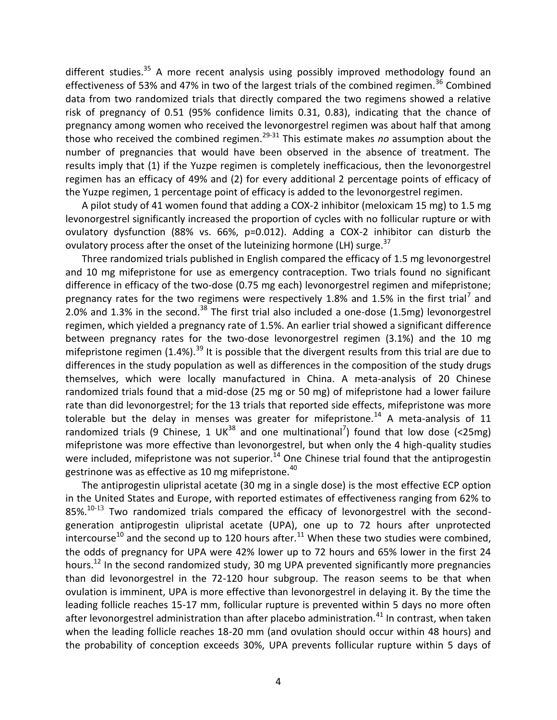<span id="page-4-2"></span>different studies.<sup>35</sup> A more recent analysis using possibly improved methodology found an effectiveness of 53% and 47% in two of the largest trials of the combined regimen.<sup>36</sup> Combined data from two randomized trials that directly compared the two regimens showed a relative risk of pregnancy of 0.51 (95% confidence limits 0.31, 0.83), indicating that the chance of pregnancy among women who received the levonorgestrel regimen was about half that among those who received the combined regimen.[29-](#page-3-0)[31](#page-3-1) This estimate makes *no* assumption about the number of pregnancies that would have been observed in the absence of treatment. The results imply that (1) if the Yuzpe regimen is completely inefficacious, then the levonorgestrel regimen has an efficacy of 49% and (2) for every additional 2 percentage points of efficacy of the Yuzpe regimen, 1 percentage point of efficacy is added to the levonorgestrel regimen.

A pilot study of 41 women found that adding a COX-2 inhibitor (meloxicam 15 mg) to 1.5 mg levonorgestrel significantly increased the proportion of cycles with no follicular rupture or with ovulatory dysfunction (88% vs. 66%, p=0.012). Adding a COX-2 inhibitor can disturb the ovulatory process after the onset of the luteinizing hormone (LH) surge.<sup>37</sup>

<span id="page-4-1"></span><span id="page-4-0"></span>Three randomized trials published in English compared the efficacy of 1.5 mg levonorgestrel and 10 mg mifepristone for use as emergency contraception. Two trials found no significant difference in efficacy of the two-dose (0.75 mg each) levonorgestrel regimen and mifepristone; pregnancy rates for the two regimens were respectively 1.8% and 1.5% in the first trial<sup>[7](#page-1-1)</sup> and 2.0% and 1.3% in the second. $38$  The first trial also included a one-dose (1.5mg) levonorgestrel regimen, which yielded a pregnancy rate of 1.5%. An earlier trial showed a significant difference between pregnancy rates for the two-dose levonorgestrel regimen (3.1%) and the 10 mg mifepristone regimen  $(1.4\%)$ .<sup>39</sup> It is possible that the divergent results from this trial are due to differences in the study population as well as differences in the composition of the study drugs themselves, which were locally manufactured in China. A meta-analysis of 20 Chinese randomized trials found that a mid-dose (25 mg or 50 mg) of mifepristone had a lower failure rate than did levonorgestrel; for the 13 trials that reported side effects, mifepristone was more tolerable but the delay in menses was greater for mifepristone.<sup>[14](#page-2-2)</sup> A meta-analysis of 11 randomized trials (9 Chinese, 1 UK<sup>[38](#page-4-0)</sup> and one multinational<sup>[7](#page-1-1)</sup>) found that low dose (<25mg) mifepristone was more effective than levonorgestrel, but when only the 4 high-quality studies were included, mifepristone was not superior.<sup>[14](#page-2-2)</sup> One Chinese trial found that the antiprogestin gestrinone was as effective as 10 mg mifepristone.<sup>40</sup>

<span id="page-4-3"></span>The antiprogestin ulipristal acetate (30 mg in a single dose) is the most effective ECP option in the United States and Europe, with reported estimates of effectiveness ranging from 62% to  $85\%$ <sup>[10-](#page-2-0)[13](#page-2-1)</sup> Two randomized trials compared the efficacy of levonorgestrel with the secondgeneration antiprogestin ulipristal acetate (UPA), one up to 72 hours after unprotected intercourse<sup>[10](#page-2-0)</sup> and the second up to 120 hours after.<sup>[11](#page-2-1)</sup> When these two studies were combined, the odds of pregnancy for UPA were 42% lower up to 72 hours and 65% lower in the first 24 hours.<sup>[12](#page-2-1)</sup> In the second randomized study, 30 mg UPA prevented significantly more pregnancies than did levonorgestrel in the 72-120 hour subgroup. The reason seems to be that when ovulation is imminent, UPA is more effective than levonorgestrel in delaying it. By the time the leading follicle reaches 15-17 mm, follicular rupture is prevented within 5 days no more often after levonorgestrel administration than after placebo administration.<sup>41</sup> In contrast, when taken when the leading follicle reaches 18-20 mm (and ovulation should occur within 48 hours) and the probability of conception exceeds 30%, UPA prevents follicular rupture within 5 days of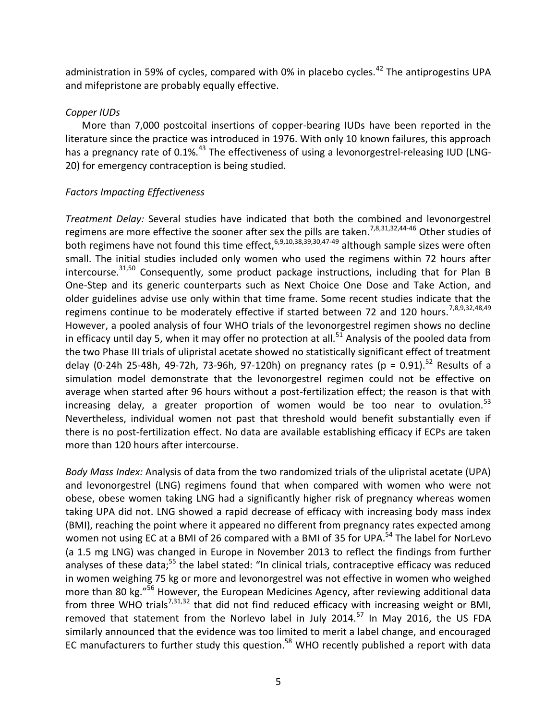<span id="page-5-4"></span>administration in 59% of cycles, compared with 0% in placebo cycles.<sup>42</sup> The antiprogestins UPA and mifepristone are probably equally effective.

## *Copper IUDs*

More than 7,000 postcoital insertions of copper-bearing IUDs have been reported in the literature since the practice was introduced in 1976. With only 10 known failures, this approach has a pregnancy rate of 0.1%.<sup>43</sup> The effectiveness of using a levonorgestrel-releasing IUD (LNG-20) for emergency contraception is being studied.

## *Factors Impacting Effectiveness*

<span id="page-5-2"></span><span id="page-5-0"></span>*Treatment Delay:* Several studies have indicated that both the combined and levonorgestrel regimens are more effective the sooner after sex the pills are taken.<sup>[7,](#page-1-1)[8,](#page-1-2)[31,](#page-3-1)32,44-46</sup> Other studies of both regimens have not found this time effect,  $6,9,10,38,39,30,47-49$  $6,9,10,38,39,30,47-49$  $6,9,10,38,39,30,47-49$  $6,9,10,38,39,30,47-49$  $6,9,10,38,39,30,47-49$  $6,9,10,38,39,30,47-49$  $6,9,10,38,39,30,47-49$  although sample sizes were often small. The initial studies included only women who used the regimens within 72 hours after intercourse.<sup>[31,5](#page-3-1)0</sup> Consequently, some product package instructions, including that for Plan B One-Step and its generic counterparts such as Next Choice One Dose and Take Action, and older guidelines advise use only within that time frame. Some recent studies indicate that the regimens continue to be moderately effective if started between 72 and 120 hours.<sup>[7,](#page-1-1)[8,](#page-1-2)[9,](#page-2-3)3[2,48,49](#page-5-0)</sup> However, a pooled analysis of four WHO trials of the levonorgestrel regimen shows no decline in efficacy until day 5, when it may offer no protection at all.<sup>51</sup> Analysis of the pooled data from the two Phase III trials of ulipristal acetate showed no statistically significant effect of treatment delay (0-24h 25-48h, 49-72h, 73-96h, 97-120h) on pregnancy rates (p = 0.91).<sup>52</sup> Results of a simulation model demonstrate that the levonorgestrel regimen could not be effective on average when started after 96 hours without a post-fertilization effect; the reason is that with increasing delay, a greater proportion of women would be too near to ovulation. $53$ Nevertheless, individual women not past that threshold would benefit substantially even if there is no post-fertilization effect. No data are available establishing efficacy if ECPs are taken more than 120 hours after intercourse.

<span id="page-5-3"></span><span id="page-5-1"></span>*Body Mass Index:* Analysis of data from the two randomized trials of the ulipristal acetate (UPA) and levonorgestrel (LNG) regimens found that when compared with women who were not obese, obese women taking LNG had a significantly higher risk of pregnancy whereas women taking UPA did not. LNG showed a rapid decrease of efficacy with increasing body mass index (BMI), reaching the point where it appeared no different from pregnancy rates expected among women not using EC at a BMI of 26 compared with a BMI of 35 for UPA.<sup>54</sup> The label for NorLevo (a 1.5 mg LNG) was changed in Europe in November 2013 to reflect the findings from further analyses of these data;<sup>55</sup> the label stated: "In clinical trials, contraceptive efficacy was reduced in women weighing 75 kg or more and levonorgestrel was not effective in women who weighed more than 80 kg."<sup>56</sup> However, the European Medicines Agency, after reviewing additional data from three WHO trials<sup>[7,](#page-1-1)[31,32](#page-3-1)</sup> that did not find reduced efficacy with increasing weight or BMI, removed that statement from the Norlevo label in July 2014.<sup>57</sup> In May 2016, the US FDA similarly announced that the evidence was too limited to merit a label change, and encouraged EC manufacturers to further study this question.<sup>58</sup> WHO recently published a report with data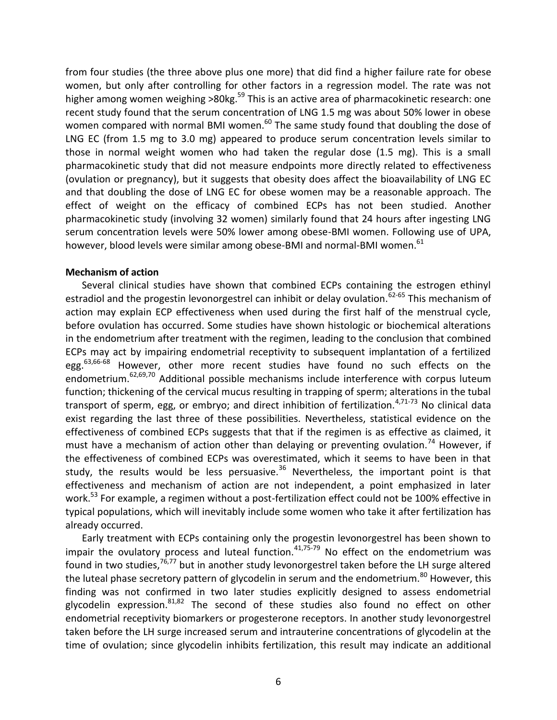from four studies (the three above plus one more) that did find a higher failure rate for obese women, but only after controlling for other factors in a regression model. The rate was not higher among women weighing >80kg.<sup>59</sup> This is an active area of pharmacokinetic research: one recent study found that the serum concentration of LNG 1.5 mg was about 50% lower in obese women compared with normal BMI women.<sup>60</sup> The same study found that doubling the dose of LNG EC (from 1.5 mg to 3.0 mg) appeared to produce serum concentration levels similar to those in normal weight women who had taken the regular dose (1.5 mg). This is a small pharmacokinetic study that did not measure endpoints more directly related to effectiveness (ovulation or pregnancy), but it suggests that obesity does affect the bioavailability of LNG EC and that doubling the dose of LNG EC for obese women may be a reasonable approach. The effect of weight on the efficacy of combined ECPs has not been studied. Another pharmacokinetic study (involving 32 women) similarly found that 24 hours after ingesting LNG serum concentration levels were 50% lower among obese-BMI women. Following use of UPA, however, blood levels were similar among obese-BMI and normal-BMI women.<sup>61</sup>

#### **Mechanism of action**

<span id="page-6-4"></span><span id="page-6-1"></span><span id="page-6-0"></span>Several clinical studies have shown that combined ECPs containing the estrogen ethinyl estradiol and the progestin levonorgestrel can inhibit or delay ovulation.<sup> $62-65$ </sup> This mechanism of action may explain ECP effectiveness when used during the first half of the menstrual cycle, before ovulation has occurred. Some studies have shown histologic or biochemical alterations in the endometrium after treatment with the regimen, leading to the conclusion that combined ECPs may act by impairing endometrial receptivity to subsequent implantation of a fertilized egg. $63,66-68$  $63,66-68$  However, other more recent studies have found no such effects on the endometrium.<sup>[62,6](#page-6-1)9,70</sup> Additional possible mechanisms include interference with corpus luteum function; thickening of the cervical mucus resulting in trapping of sperm; alterations in the tubal transport of sperm, egg, or embryo; and direct inhibition of fertilization.<sup>[4,7](#page-1-4)1-73</sup> No clinical data exist regarding the last three of these possibilities. Nevertheless, statistical evidence on the effectiveness of combined ECPs suggests that that if the regimen is as effective as claimed, it must have a mechanism of action other than delaying or preventing ovulation.<sup>74</sup> However, if the effectiveness of combined ECPs was overestimated, which it seems to have been in that study, the results would be less persuasive.<sup>[36](#page-4-2)</sup> Nevertheless, the important point is that effectiveness and mechanism of action are not independent, a point emphasized in later work.<sup>[53](#page-5-1)</sup> For example, a regimen without a post-fertilization effect could not be 100% effective in typical populations, which will inevitably include some women who take it after fertilization has already occurred.

<span id="page-6-3"></span><span id="page-6-2"></span>Early treatment with ECPs containing only the progestin levonorgestrel has been shown to impair the ovulatory process and luteal function.[41,7](#page-4-3)5-79 No effect on the endometrium was found in two studies,<sup>[76,77](#page-6-2)</sup> but in another study levonorgestrel taken before the LH surge altered the luteal phase secretory pattern of glycodelin in serum and the endometrium.<sup>80</sup> However, this finding was not confirmed in two later studies explicitly designed to assess endometrial glycodelin expression.  $81,82$  The second of these studies also found no effect on other endometrial receptivity biomarkers or progesterone receptors. In another study levonorgestrel taken before the LH surge increased serum and intrauterine concentrations of glycodelin at the time of ovulation; since glycodelin inhibits fertilization, this result may indicate an additional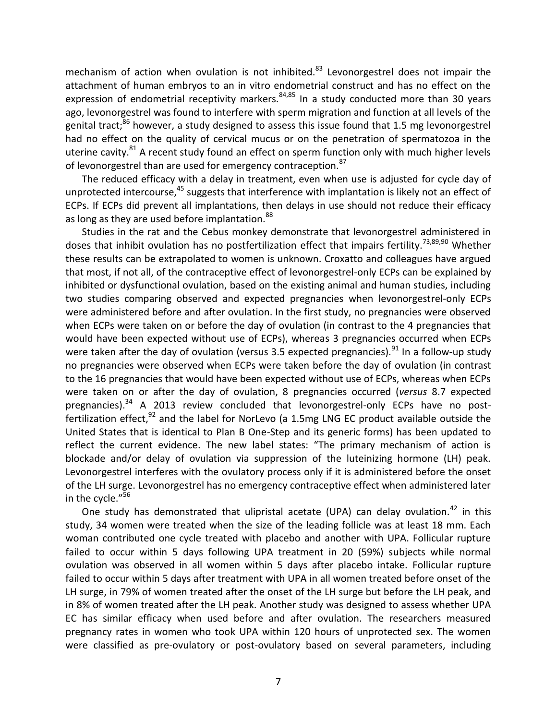mechanism of action when ovulation is not inhibited. $83$  Levonorgestrel does not impair the attachment of human embryos to an in vitro endometrial construct and has no effect on the expression of endometrial receptivity markers.<sup>84,85</sup> In a study conducted more than 30 years ago, levonorgestrel was found to interfere with sperm migration and function at all levels of the genital tract;<sup>86</sup> however, a study designed to assess this issue found that 1.5 mg levonorgestrel had no effect on the quality of cervical mucus or on the penetration of spermatozoa in the uterine cavity.<sup>[81](#page-6-3)</sup> A recent study found an effect on sperm function only with much higher levels of levonorgestrel than are used for emergency contraception.<sup>87</sup>

The reduced efficacy with a delay in treatment, even when use is adjusted for cycle day of unprotected intercourse,<sup>[45](#page-5-2)</sup> suggests that interference with implantation is likely not an effect of ECPs. If ECPs did prevent all implantations, then delays in use should not reduce their efficacy as long as they are used before implantation.<sup>88</sup>

Studies in the rat and the Cebus monkey demonstrate that levonorgestrel administered in doses that inhibit ovulation has no postfertilization effect that impairs fertility.<sup>[73,8](#page-6-4)9,90</sup> Whether these results can be extrapolated to women is unknown. Croxatto and colleagues have argued that most, if not all, of the contraceptive effect of levonorgestrel-only ECPs can be explained by inhibited or dysfunctional ovulation, based on the existing animal and human studies, including two studies comparing observed and expected pregnancies when levonorgestrel-only ECPs were administered before and after ovulation. In the first study, no pregnancies were observed when ECPs were taken on or before the day of ovulation (in contrast to the 4 pregnancies that would have been expected without use of ECPs), whereas 3 pregnancies occurred when ECPs were taken after the day of ovulation (versus 3.5 expected pregnancies).<sup>91</sup> In a follow-up study no pregnancies were observed when ECPs were taken before the day of ovulation (in contrast to the 16 pregnancies that would have been expected without use of ECPs, whereas when ECPs were taken on or after the day of ovulation, 8 pregnancies occurred (*versus* 8.7 expected pregnancies).<sup>[34](#page-3-1)</sup> A 2013 review concluded that levonorgestrel-only ECPs have no postfertilization effect,<sup>92</sup> and the label for NorLevo (a 1.5mg LNG EC product available outside the United States that is identical to Plan B One-Step and its generic forms) has been updated to reflect the current evidence. The new label states: "The primary mechanism of action is blockade and/or delay of ovulation via suppression of the luteinizing hormone (LH) peak. Levonorgestrel interferes with the ovulatory process only if it is administered before the onset of the LH surge. Levonorgestrel has no emergency contraceptive effect when administered later in the cycle."<sup>[56](#page-5-3)</sup>

One study has demonstrated that ulipristal acetate (UPA) can delay ovulation.<sup>[42](#page-5-4)</sup> in this study, 34 women were treated when the size of the leading follicle was at least 18 mm. Each woman contributed one cycle treated with placebo and another with UPA. Follicular rupture failed to occur within 5 days following UPA treatment in 20 (59%) subjects while normal ovulation was observed in all women within 5 days after placebo intake. Follicular rupture failed to occur within 5 days after treatment with UPA in all women treated before onset of the LH surge, in 79% of women treated after the onset of the LH surge but before the LH peak, and in 8% of women treated after the LH peak. Another study was designed to assess whether UPA EC has similar efficacy when used before and after ovulation. The researchers measured pregnancy rates in women who took UPA within 120 hours of unprotected sex. The women were classified as pre-ovulatory or post-ovulatory based on several parameters, including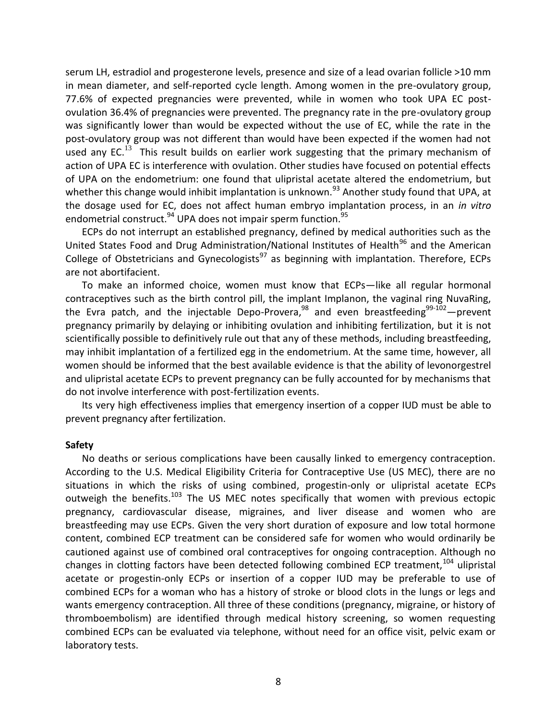serum LH, estradiol and progesterone levels, presence and size of a lead ovarian follicle >10 mm in mean diameter, and self-reported cycle length. Among women in the pre-ovulatory group, 77.6% of expected pregnancies were prevented, while in women who took UPA EC postovulation 36.4% of pregnancies were prevented. The pregnancy rate in the pre-ovulatory group was significantly lower than would be expected without the use of EC, while the rate in the post-ovulatory group was not different than would have been expected if the women had not used any EC.<sup>[13](#page-2-1)</sup> This result builds on earlier work suggesting that the primary mechanism of action of UPA EC is interference with ovulation. Other studies have focused on potential effects of UPA on the endometrium: one found that ulipristal acetate altered the endometrium, but whether this change would inhibit implantation is unknown.<sup>93</sup> Another study found that UPA, at the dosage used for EC, does not affect human embryo implantation process, in an *in vitro* endometrial construct.<sup>94</sup> UPA does not impair sperm function.<sup>95</sup>

ECPs do not interrupt an established pregnancy, defined by medical authorities such as the United States Food and Drug Administration/National Institutes of Health<sup>96</sup> and the American College of Obstetricians and Gynecologists $^{97}$  as beginning with implantation. Therefore, ECPs are not abortifacient.

To make an informed choice, women must know that ECPs—like all regular hormonal contraceptives such as the birth control pill, the implant Implanon, the vaginal ring NuvaRing, the Evra patch, and the injectable Depo-Provera,<sup>98</sup> and even breastfeeding<sup>99-102</sup>—prevent pregnancy primarily by delaying or inhibiting ovulation and inhibiting fertilization, but it is not scientifically possible to definitively rule out that any of these methods, including breastfeeding, may inhibit implantation of a fertilized egg in the endometrium. At the same time, however, all women should be informed that the best available evidence is that the ability of levonorgestrel and ulipristal acetate ECPs to prevent pregnancy can be fully accounted for by mechanisms that do not involve interference with post-fertilization events.

Its very high effectiveness implies that emergency insertion of a copper IUD must be able to prevent pregnancy after fertilization.

#### **Safety**

<span id="page-8-0"></span>No deaths or serious complications have been causally linked to emergency contraception. According to the U.S. Medical Eligibility Criteria for Contraceptive Use (US MEC), there are no situations in which the risks of using combined, progestin-only or ulipristal acetate ECPs outweigh the benefits.<sup>103</sup> The US MEC notes specifically that women with previous ectopic pregnancy, cardiovascular disease, migraines, and liver disease and women who are breastfeeding may use ECPs. Given the very short duration of exposure and low total hormone content, combined ECP treatment can be considered safe for women who would ordinarily be cautioned against use of combined oral contraceptives for ongoing contraception. Although no changes in clotting factors have been detected following combined ECP treatment, $104$  ulipristal acetate or progestin-only ECPs or insertion of a copper IUD may be preferable to use of combined ECPs for a woman who has a history of stroke or blood clots in the lungs or legs and wants emergency contraception. All three of these conditions (pregnancy, migraine, or history of thromboembolism) are identified through medical history screening, so women requesting combined ECPs can be evaluated via telephone, without need for an office visit, pelvic exam or laboratory tests.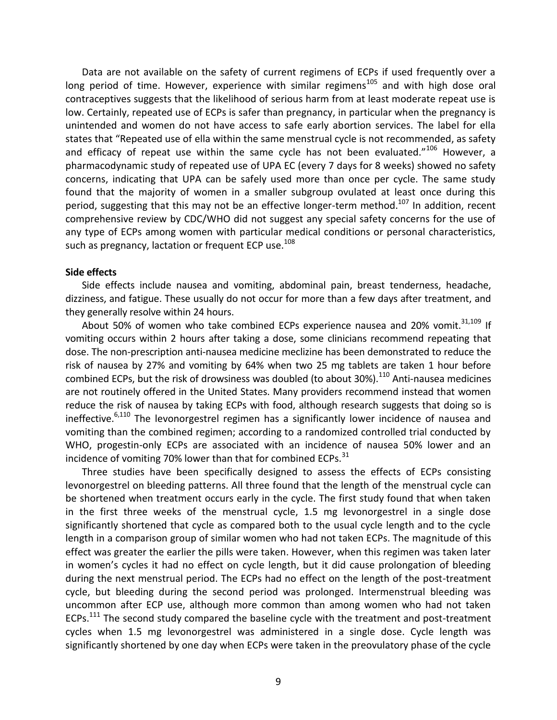Data are not available on the safety of current regimens of ECPs if used frequently over a long period of time. However, experience with similar regimens<sup>105</sup> and with high dose oral contraceptives suggests that the likelihood of serious harm from at least moderate repeat use is low. Certainly, repeated use of ECPs is safer than pregnancy, in particular when the pregnancy is unintended and women do not have access to safe early abortion services. The label for ella states that "Repeated use of ella within the same menstrual cycle is not recommended, as safety and efficacy of repeat use within the same cycle has not been evaluated."<sup>106</sup> However, a pharmacodynamic study of repeated use of UPA EC (every 7 days for 8 weeks) showed no safety concerns, indicating that UPA can be safely used more than once per cycle. The same study found that the majority of women in a smaller subgroup ovulated at least once during this period, suggesting that this may not be an effective longer-term method.<sup>107</sup> In addition, recent comprehensive review by CDC/WHO did not suggest any special safety concerns for the use of any type of ECPs among women with particular medical conditions or personal characteristics, such as pregnancy, lactation or frequent ECP use.<sup>108</sup>

#### **Side effects**

Side effects include nausea and vomiting, abdominal pain, breast tenderness, headache, dizziness, and fatigue. These usually do not occur for more than a few days after treatment, and they generally resolve within 24 hours.

<span id="page-9-0"></span>About 50% of women who take combined ECPs experience nausea and 20% vomit. $31,109$  $31,109$  If vomiting occurs within 2 hours after taking a dose, some clinicians recommend repeating that dose. The non-prescription anti-nausea medicine meclizine has been demonstrated to reduce the risk of nausea by 27% and vomiting by 64% when two 25 mg tablets are taken 1 hour before combined ECPs, but the risk of drowsiness was doubled (to about 30%).<sup>110</sup> Anti-nausea medicines are not routinely offered in the United States. Many providers recommend instead that women reduce the risk of nausea by taking ECPs with food, although research suggests that doing so is ineffective.<sup>[6,](#page-1-3)[110](#page-9-0)</sup> The levonorgestrel regimen has a significantly lower incidence of nausea and vomiting than the combined regimen; according to a randomized controlled trial conducted by WHO, progestin-only ECPs are associated with an incidence of nausea 50% lower and an incidence of vomiting 70% lower than that for combined ECPs.<sup>[31](#page-3-1)</sup>

Three studies have been specifically designed to assess the effects of ECPs consisting levonorgestrel on bleeding patterns. All three found that the length of the menstrual cycle can be shortened when treatment occurs early in the cycle. The first study found that when taken in the first three weeks of the menstrual cycle, 1.5 mg levonorgestrel in a single dose significantly shortened that cycle as compared both to the usual cycle length and to the cycle length in a comparison group of similar women who had not taken ECPs. The magnitude of this effect was greater the earlier the pills were taken. However, when this regimen was taken later in women's cycles it had no effect on cycle length, but it did cause prolongation of bleeding during the next menstrual period. The ECPs had no effect on the length of the post-treatment cycle, but bleeding during the second period was prolonged. Intermenstrual bleeding was uncommon after ECP use, although more common than among women who had not taken ECPs.<sup>111</sup> The second study compared the baseline cycle with the treatment and post-treatment cycles when 1.5 mg levonorgestrel was administered in a single dose. Cycle length was significantly shortened by one day when ECPs were taken in the preovulatory phase of the cycle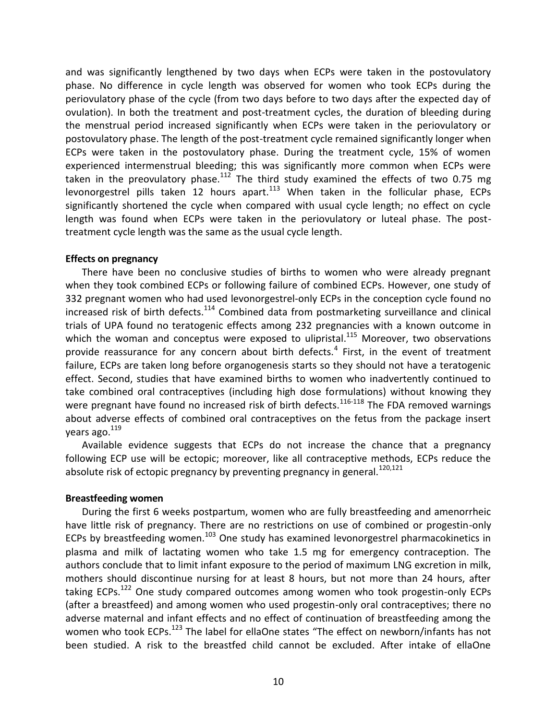and was significantly lengthened by two days when ECPs were taken in the postovulatory phase. No difference in cycle length was observed for women who took ECPs during the periovulatory phase of the cycle (from two days before to two days after the expected day of ovulation). In both the treatment and post-treatment cycles, the duration of bleeding during the menstrual period increased significantly when ECPs were taken in the periovulatory or postovulatory phase. The length of the post-treatment cycle remained significantly longer when ECPs were taken in the postovulatory phase. During the treatment cycle, 15% of women experienced intermenstrual bleeding; this was significantly more common when ECPs were taken in the preovulatory phase.<sup>112</sup> The third study examined the effects of two 0.75 mg levonorgestrel pills taken 12 hours apart. $113$  When taken in the follicular phase, ECPs significantly shortened the cycle when compared with usual cycle length; no effect on cycle length was found when ECPs were taken in the periovulatory or luteal phase. The posttreatment cycle length was the same as the usual cycle length.

#### **Effects on pregnancy**

There have been no conclusive studies of births to women who were already pregnant when they took combined ECPs or following failure of combined ECPs. However, one study of 332 pregnant women who had used levonorgestrel-only ECPs in the conception cycle found no increased risk of birth defects. $114$  Combined data from postmarketing surveillance and clinical trials of UPA found no teratogenic effects among 232 pregnancies with a known outcome in which the woman and conceptus were exposed to ulipristal.<sup>115</sup> Moreover, two observations provide reassurance for any concern about birth defects.<sup>[4](#page-1-4)</sup> First, in the event of treatment failure, ECPs are taken long before organogenesis starts so they should not have a teratogenic effect. Second, studies that have examined births to women who inadvertently continued to take combined oral contraceptives (including high dose formulations) without knowing they were pregnant have found no increased risk of birth defects.<sup>116-118</sup> The FDA removed warnings about adverse effects of combined oral contraceptives on the fetus from the package insert years ago.  $119$ 

Available evidence suggests that ECPs do not increase the chance that a pregnancy following ECP use will be ectopic; moreover, like all contraceptive methods, ECPs reduce the absolute risk of ectopic pregnancy by preventing pregnancy in general.<sup>120,121</sup>

#### **Breastfeeding women**

During the first 6 weeks postpartum, women who are fully breastfeeding and amenorrheic have little risk of pregnancy. There are no restrictions on use of combined or progestin-only ECPs by breastfeeding women.<sup>[103](#page-8-0)</sup> One study has examined levonorgestrel pharmacokinetics in plasma and milk of lactating women who take 1.5 mg for emergency contraception. The authors conclude that to limit infant exposure to the period of maximum LNG excretion in milk, mothers should discontinue nursing for at least 8 hours, but not more than 24 hours, after taking ECPs.<sup>122</sup> One study compared outcomes among women who took progestin-only ECPs (after a breastfeed) and among women who used progestin-only oral contraceptives; there no adverse maternal and infant effects and no effect of continuation of breastfeeding among the women who took ECPs.<sup>123</sup> The label for ellaOne states "The effect on newborn/infants has not been studied. A risk to the breastfed child cannot be excluded. After intake of ellaOne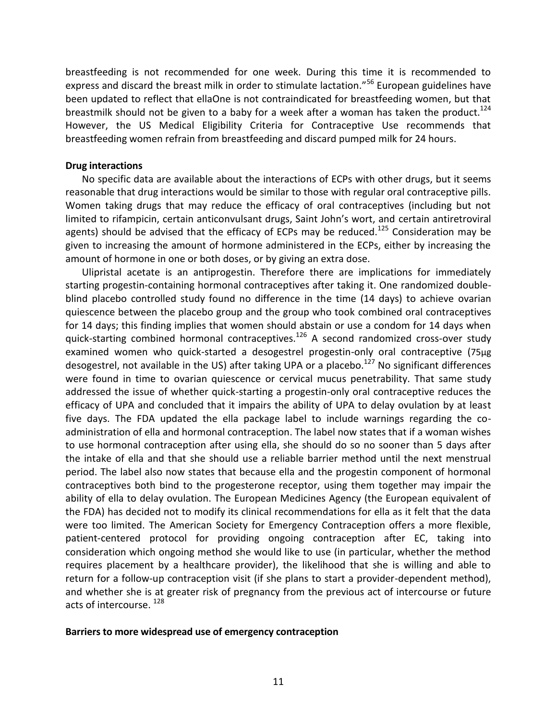breastfeeding is not recommended for one week. During this time it is recommended to express and discard the breast milk in order to stimulate lactation."<sup>[56](#page-5-3)</sup> European guidelines have been updated to reflect that ellaOne is not contraindicated for breastfeeding women, but that breastmilk should not be given to a baby for a week after a woman has taken the product.<sup>124</sup> However, the US Medical Eligibility Criteria for Contraceptive Use recommends that breastfeeding women refrain from breastfeeding and discard pumped milk for 24 hours.

#### **Drug interactions**

No specific data are available about the interactions of ECPs with other drugs, but it seems reasonable that drug interactions would be similar to those with regular oral contraceptive pills. Women taking drugs that may reduce the efficacy of oral contraceptives (including but not limited to rifampicin, certain anticonvulsant drugs, Saint John's wort, and certain antiretroviral agents) should be advised that the efficacy of ECPs may be reduced.<sup>125</sup> Consideration may be given to increasing the amount of hormone administered in the ECPs, either by increasing the amount of hormone in one or both doses, or by giving an extra dose.

Ulipristal acetate is an antiprogestin. Therefore there are implications for immediately starting progestin-containing hormonal contraceptives after taking it. One randomized doubleblind placebo controlled study found no difference in the time (14 days) to achieve ovarian quiescence between the placebo group and the group who took combined oral contraceptives for 14 days; this finding implies that women should abstain or use a condom for 14 days when quick-starting combined hormonal contraceptives.<sup>126</sup> A second randomized cross-over study examined women who quick-started a desogestrel progestin-only oral contraceptive (75μg desogestrel, not available in the US) after taking UPA or a placebo.<sup>127</sup> No significant differences were found in time to ovarian quiescence or cervical mucus penetrability. That same study addressed the issue of whether quick-starting a progestin-only oral contraceptive reduces the efficacy of UPA and concluded that it impairs the ability of UPA to delay ovulation by at least five days. The FDA updated the ella package label to include warnings regarding the coadministration of ella and hormonal contraception. The label now states that if a woman wishes to use hormonal contraception after using ella, she should do so no sooner than 5 days after the intake of ella and that she should use a reliable barrier method until the next menstrual period. The label also now states that because ella and the progestin component of hormonal contraceptives both bind to the progesterone receptor, using them together may impair the ability of ella to delay ovulation. The European Medicines Agency (the European equivalent of the FDA) has decided not to modify its clinical recommendations for ella as it felt that the data were too limited. The American Society for Emergency Contraception offers a more flexible, patient-centered protocol for providing ongoing contraception after EC, taking into consideration which ongoing method she would like to use (in particular, whether the method requires placement by a healthcare provider), the likelihood that she is willing and able to return for a follow-up contraception visit (if she plans to start a provider-dependent method), and whether she is at greater risk of pregnancy from the previous act of intercourse or future acts of intercourse.<sup>128</sup>

#### **Barriers to more widespread use of emergency contraception**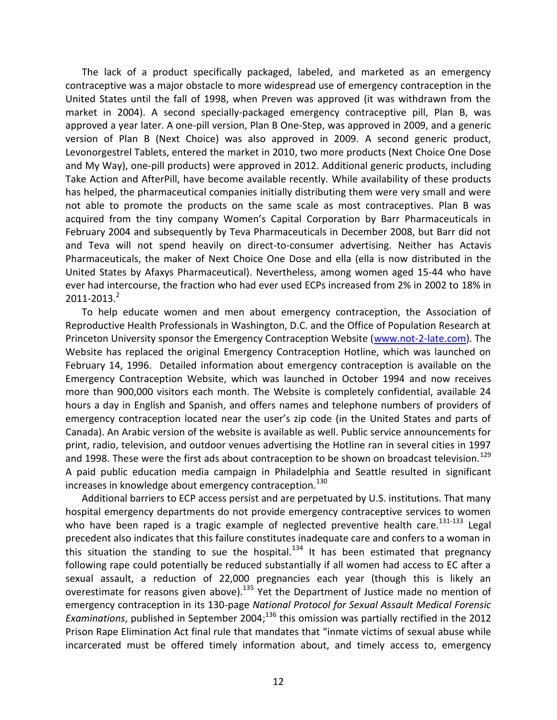The lack of a product specifically packaged, labeled, and marketed as an emergency contraceptive was a major obstacle to more widespread use of emergency contraception in the United States until the fall of 1998, when Preven was approved (it was withdrawn from the market in 2004). A second specially-packaged emergency contraceptive pill, Plan B, was approved a year later. A one-pill version, Plan B One-Step, was approved in 2009, and a generic version of Plan B (Next Choice) was also approved in 2009. A second generic product, Levonorgestrel Tablets, entered the market in 2010, two more products (Next Choice One Dose and My Way), one-pill products) were approved in 2012. Additional generic products, including Take Action and AfterPill, have become available recently. While availability of these products has helped, the pharmaceutical companies initially distributing them were very small and were not able to promote the products on the same scale as most contraceptives. Plan B was acquired from the tiny company Women's Capital Corporation by Barr Pharmaceuticals in February 2004 and subsequently by Teva Pharmaceuticals in December 2008, but Barr did not and Teva will not spend heavily on direct-to-consumer advertising. Neither has Actavis Pharmaceuticals, the maker of Next Choice One Dose and ella (ella is now distributed in the United States by Afaxys Pharmaceutical). Nevertheless, among women aged 15-44 who have ever had intercourse, the fraction who had ever used ECPs increased from 2% in 2002 to 18% in 2011-2013. [2](#page-1-0)

To help educate women and men about emergency contraception, the Association of Reproductive Health Professionals in Washington, D.C. and the Office of Population Research at Princeton University sponsor the Emergency Contraception Website [\(www.not-2-late.com\)](http://www.not-2-late.com/). The Website has replaced the original Emergency Contraception Hotline, which was launched on February 14, 1996. Detailed information about emergency contraception is available on the Emergency Contraception Website, which was launched in October 1994 and now receives more than 900,000 visitors each month. The Website is completely confidential, available 24 hours a day in English and Spanish, and offers names and telephone numbers of providers of emergency contraception located near the user's zip code (in the United States and parts of Canada). An Arabic version of the website is available as well. Public service announcements for print, radio, television, and outdoor venues advertising the Hotline ran in several cities in 1997 and 1998. These were the first ads about contraception to be shown on broadcast television.<sup>129</sup> A paid public education media campaign in Philadelphia and Seattle resulted in significant increases in knowledge about emergency contraception.<sup>130</sup>

Additional barriers to ECP access persist and are perpetuated by U.S. institutions. That many hospital emergency departments do not provide emergency contraceptive services to women who have been raped is a tragic example of neglected preventive health care.<sup>131-133</sup> Legal precedent also indicates that this failure constitutes inadequate care and confers to a woman in this situation the standing to sue the hospital.<sup>134</sup> It has been estimated that pregnancy following rape could potentially be reduced substantially if all women had access to EC after a sexual assault, a reduction of 22,000 pregnancies each year (though this is likely an overestimate for reasons given above).<sup>135</sup> Yet the Department of Justice made no mention of emergency contraception in its 130-page *National Protocol for Sexual Assault Medical Forensic Examinations*, published in September 2004; <sup>136</sup> this omission was partially rectified in the 2012 Prison Rape Elimination Act final rule that mandates that "inmate victims of sexual abuse while incarcerated must be offered timely information about, and timely access to, emergency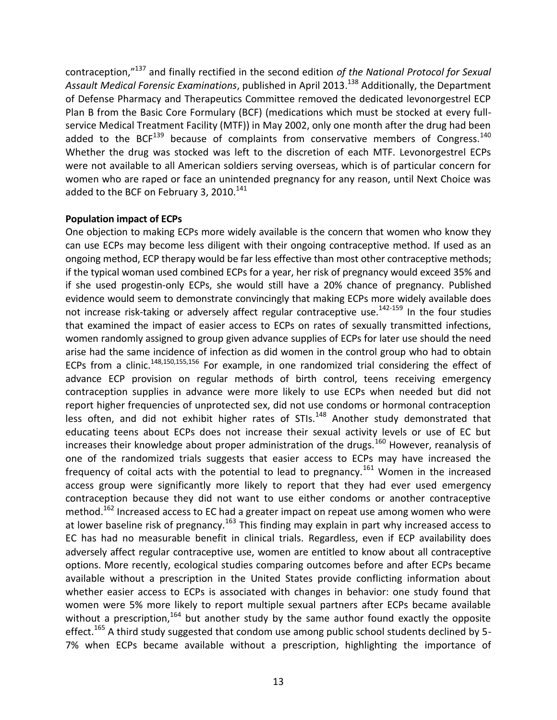contraception," <sup>137</sup> and finally rectified in the second edition *of the National Protocol for Sexual Assault Medical Forensic Examinations*, published in April 2013. <sup>138</sup> Additionally, the Department of Defense Pharmacy and Therapeutics Committee removed the dedicated levonorgestrel ECP Plan B from the Basic Core Formulary (BCF) (medications which must be stocked at every fullservice Medical Treatment Facility (MTF)) in May 2002, only one month after the drug had been added to the BCF $^{139}$  because of complaints from conservative members of Congress.<sup>140</sup> Whether the drug was stocked was left to the discretion of each MTF. Levonorgestrel ECPs were not available to all American soldiers serving overseas, which is of particular concern for women who are raped or face an unintended pregnancy for any reason, until Next Choice was added to the BCF on February 3, 2010.<sup>141</sup>

## **Population impact of ECPs**

<span id="page-13-0"></span>One objection to making ECPs more widely available is the concern that women who know they can use ECPs may become less diligent with their ongoing contraceptive method. If used as an ongoing method, ECP therapy would be far less effective than most other contraceptive methods; if the typical woman used combined ECPs for a year, her risk of pregnancy would exceed 35% and if she used progestin-only ECPs, she would still have a 20% chance of pregnancy. Published evidence would seem to demonstrate convincingly that making ECPs more widely available does not increase risk-taking or adversely affect regular contraceptive use.<sup>142-159</sup> In the four studies that examined the impact of easier access to ECPs on rates of sexually transmitted infections, women randomly assigned to group given advance supplies of ECPs for later use should the need arise had the same incidence of infection as did women in the control group who had to obtain ECPs from a clinic.<sup>[148,150,155,156](#page-13-0)</sup> For example, in one randomized trial considering the effect of advance ECP provision on regular methods of birth control, teens receiving emergency contraception supplies in advance were more likely to use ECPs when needed but did not report higher frequencies of unprotected sex, did not use condoms or hormonal contraception less often, and did not exhibit higher rates of STIs.<sup>[148](#page-13-0)</sup> Another study demonstrated that educating teens about ECPs does not increase their sexual activity levels or use of EC but increases their knowledge about proper administration of the drugs.<sup>160</sup> However, reanalysis of one of the randomized trials suggests that easier access to ECPs may have increased the frequency of coital acts with the potential to lead to pregnancy.<sup>161</sup> Women in the increased access group were significantly more likely to report that they had ever used emergency contraception because they did not want to use either condoms or another contraceptive method.<sup>162</sup> Increased access to EC had a greater impact on repeat use among women who were at lower baseline risk of pregnancy.<sup>163</sup> This finding may explain in part why increased access to EC has had no measurable benefit in clinical trials. Regardless, even if ECP availability does adversely affect regular contraceptive use, women are entitled to know about all contraceptive options. More recently, ecological studies comparing outcomes before and after ECPs became available without a prescription in the United States provide conflicting information about whether easier access to ECPs is associated with changes in behavior: one study found that women were 5% more likely to report multiple sexual partners after ECPs became available without a prescription,  $164$  but another study by the same author found exactly the opposite effect.<sup>165</sup> A third study suggested that condom use among public school students declined by 5-7% when ECPs became available without a prescription, highlighting the importance of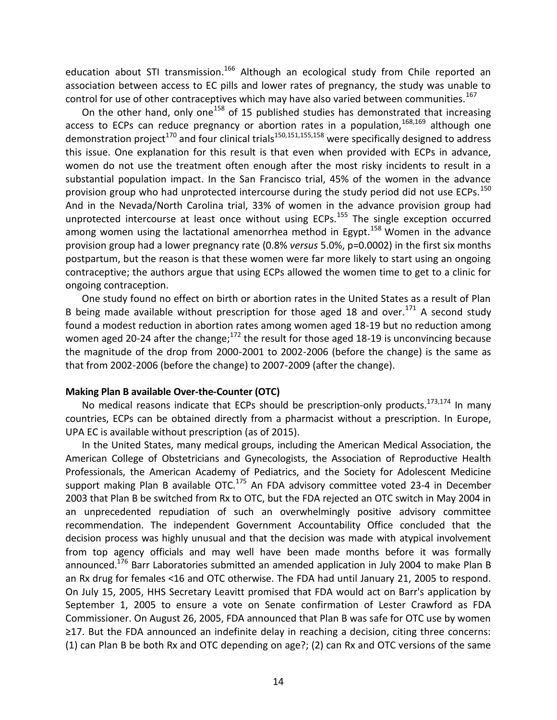education about STI transmission.<sup>166</sup> Although an ecological study from Chile reported an association between access to EC pills and lower rates of pregnancy, the study was unable to control for use of other contraceptives which may have also varied between communities.<sup>167</sup>

On the other hand, only one<sup>[158](#page-13-0)</sup> of 15 published studies has demonstrated that increasing access to ECPs can reduce pregnancy or abortion rates in a population,  $168,169$  although one demonstration project<sup>170</sup> and four clinical trials<sup>[150,151,155,158](#page-13-0)</sup> were specifically designed to address this issue. One explanation for this result is that even when provided with ECPs in advance, women do not use the treatment often enough after the most risky incidents to result in a substantial population impact. In the San Francisco trial, 45% of the women in the advance provision group who had unprotected intercourse during the study period did not use ECPs.<sup>[150](#page-13-0)</sup> And in the Nevada/North Carolina trial, 33% of women in the advance provision group had unprotected intercourse at least once without using ECPs.<sup>[155](#page-13-0)</sup> The single exception occurred among women using the lactational amenorrhea method in Egypt.<sup>[158](#page-13-0)</sup> Women in the advance provision group had a lower pregnancy rate (0.8% *versus* 5.0%, p=0.0002) in the first six months postpartum, but the reason is that these women were far more likely to start using an ongoing contraceptive; the authors argue that using ECPs allowed the women time to get to a clinic for ongoing contraception.

One study found no effect on birth or abortion rates in the United States as a result of Plan B being made available without prescription for those aged 18 and over.<sup>171</sup> A second study found a modest reduction in abortion rates among women aged 18-19 but no reduction among women aged 20-24 after the change; $^{172}$  the result for those aged 18-19 is unconvincing because the magnitude of the drop from 2000-2001 to 2002-2006 (before the change) is the same as that from 2002-2006 (before the change) to 2007-2009 (after the change).

#### **Making Plan B available Over-the-Counter (OTC)**

No medical reasons indicate that ECPs should be prescription-only products.<sup>173,174</sup> In many countries, ECPs can be obtained directly from a pharmacist without a prescription. In Europe, UPA EC is available without prescription (as of 2015).

In the United States, many medical groups, including the American Medical Association, the American College of Obstetricians and Gynecologists, the Association of Reproductive Health Professionals, the American Academy of Pediatrics, and the Society for Adolescent Medicine support making Plan B available OTC. $175$  An FDA advisory committee voted 23-4 in December 2003 that Plan B be switched from Rx to OTC, but the FDA rejected an OTC switch in May 2004 in an unprecedented repudiation of such an overwhelmingly positive advisory committee recommendation. The independent Government Accountability Office concluded that the decision process was highly unusual and that the decision was made with atypical involvement from top agency officials and may well have been made months before it was formally announced.<sup>176</sup> Barr Laboratories submitted an amended application in July 2004 to make Plan B an Rx drug for females <16 and OTC otherwise. The FDA had until January 21, 2005 to respond. On July 15, 2005, HHS Secretary Leavitt promised that FDA would act on Barr's application by September 1, 2005 to ensure a vote on Senate confirmation of Lester Crawford as FDA Commissioner. On August 26, 2005, FDA announced that Plan B was safe for OTC use by women ≥17. But the FDA announced an indefinite delay in reaching a decision, citing three concerns: (1) can Plan B be both Rx and OTC depending on age?; (2) can Rx and OTC versions of the same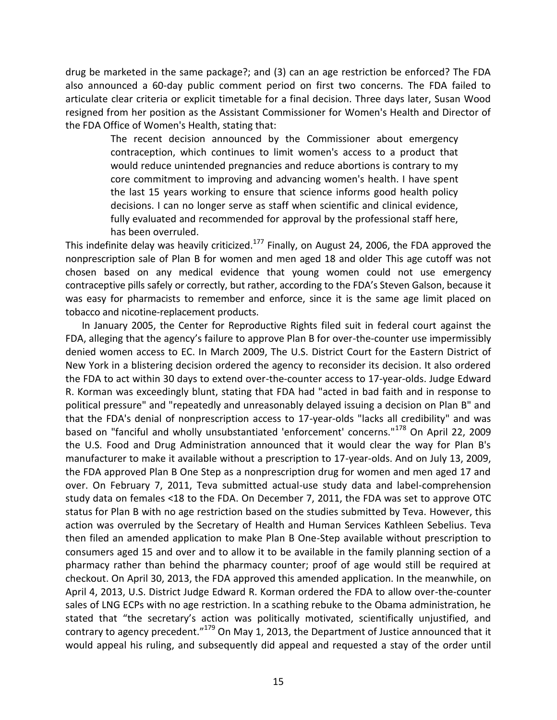drug be marketed in the same package?; and (3) can an age restriction be enforced? The FDA also announced a 60-day public comment period on first two concerns. The FDA failed to articulate clear criteria or explicit timetable for a final decision. Three days later, Susan Wood resigned from her position as the Assistant Commissioner for Women's Health and Director of the FDA Office of Women's Health, stating that:

> The recent decision announced by the Commissioner about emergency contraception, which continues to limit women's access to a product that would reduce unintended pregnancies and reduce abortions is contrary to my core commitment to improving and advancing women's health. I have spent the last 15 years working to ensure that science informs good health policy decisions. I can no longer serve as staff when scientific and clinical evidence, fully evaluated and recommended for approval by the professional staff here, has been overruled.

This indefinite delay was heavily criticized.<sup>177</sup> Finally, on August 24, 2006, the FDA approved the nonprescription sale of Plan B for women and men aged 18 and older This age cutoff was not chosen based on any medical evidence that young women could not use emergency contraceptive pills safely or correctly, but rather, according to the FDA's Steven Galson, because it was easy for pharmacists to remember and enforce, since it is the same age limit placed on tobacco and nicotine-replacement products.

In January 2005, the Center for Reproductive Rights filed suit in federal court against the FDA, alleging that the agency's failure to approve Plan B for over-the-counter use impermissibly denied women access to EC. In March 2009, The U.S. District Court for the Eastern District of New York in a blistering decision ordered the agency to reconsider its decision. It also ordered the FDA to act within 30 days to extend over-the-counter access to 17-year-olds. Judge Edward R. Korman was exceedingly blunt, stating that FDA had "acted in bad faith and in response to political pressure" and "repeatedly and unreasonably delayed issuing a decision on Plan B" and that the FDA's denial of nonprescription access to 17-year-olds "lacks all credibility" and was based on "fanciful and wholly unsubstantiated 'enforcement' concerns."<sup>178</sup> On April 22, 2009 the U.S. Food and Drug Administration announced that it would clear the way for Plan B's manufacturer to make it available without a prescription to 17-year-olds. And on July 13, 2009, the FDA approved Plan B One Step as a nonprescription drug for women and men aged 17 and over. On February 7, 2011, Teva submitted actual-use study data and label-comprehension study data on females <18 to the FDA. On December 7, 2011, the FDA was set to approve OTC status for Plan B with no age restriction based on the studies submitted by Teva. However, this action was overruled by the Secretary of Health and Human Services Kathleen Sebelius. Teva then filed an amended application to make Plan B One-Step available without prescription to consumers aged 15 and over and to allow it to be available in the family planning section of a pharmacy rather than behind the pharmacy counter; proof of age would still be required at checkout. On April 30, 2013, the FDA approved this amended application. In the meanwhile, on April 4, 2013, U.S. District Judge Edward R. Korman ordered the FDA to allow over-the-counter sales of LNG ECPs with no age restriction. In a scathing rebuke to the Obama administration, he stated that "the secretary's action was politically motivated, scientifically unjustified, and contrary to agency precedent."<sup>179</sup> On May 1, 2013, the Department of Justice announced that it would appeal his ruling, and subsequently did appeal and requested a stay of the order until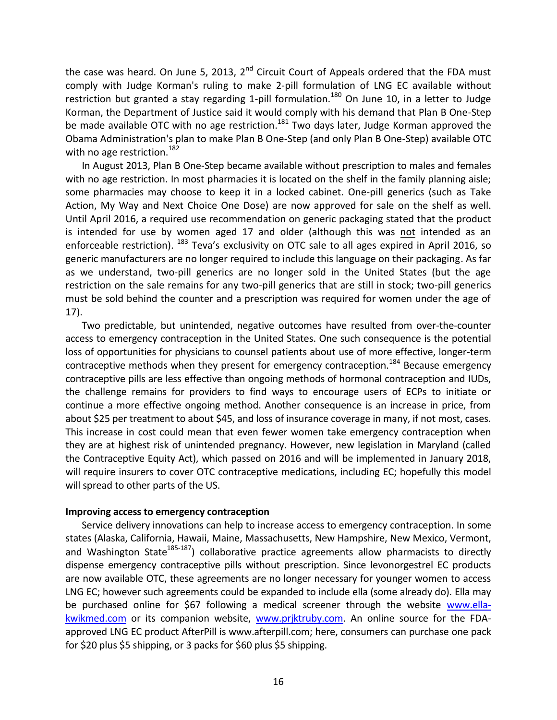the case was heard. On June 5, 2013, 2<sup>nd</sup> Circuit Court of Appeals ordered that the FDA must comply with Judge Korman's ruling to make 2-pill formulation of LNG EC available without restriction but granted a stay regarding 1-pill formulation.<sup>180</sup> On June 10, in a letter to Judge Korman, the Department of Justice said it would comply with his demand that Plan B One-Step be made available OTC with no age restriction.<sup>181</sup> Two days later, Judge Korman approved the Obama Administration's plan to make Plan B One-Step (and only Plan B One-Step) available OTC with no age restriction.<sup>182</sup>

In August 2013, Plan B One-Step became available without prescription to males and females with no age restriction. In most pharmacies it is located on the shelf in the family planning aisle; some pharmacies may choose to keep it in a locked cabinet. One-pill generics (such as Take Action, My Way and Next Choice One Dose) are now approved for sale on the shelf as well. Until April 2016, a required use recommendation on generic packaging stated that the product is intended for use by women aged 17 and older (although this was not intended as an enforceable restriction). <sup>183</sup> Teva's exclusivity on OTC sale to all ages expired in April 2016, so generic manufacturers are no longer required to include this language on their packaging. As far as we understand, two-pill generics are no longer sold in the United States (but the age restriction on the sale remains for any two-pill generics that are still in stock; two-pill generics must be sold behind the counter and a prescription was required for women under the age of 17).

Two predictable, but unintended, negative outcomes have resulted from over-the-counter access to emergency contraception in the United States. One such consequence is the potential loss of opportunities for physicians to counsel patients about use of more effective, longer-term contraceptive methods when they present for emergency contraception.<sup>184</sup> Because emergency contraceptive pills are less effective than ongoing methods of hormonal contraception and IUDs, the challenge remains for providers to find ways to encourage users of ECPs to initiate or continue a more effective ongoing method. Another consequence is an increase in price, from about \$25 per treatment to about \$45, and loss of insurance coverage in many, if not most, cases. This increase in cost could mean that even fewer women take emergency contraception when they are at highest risk of unintended pregnancy. However, new legislation in Maryland (called the Contraceptive Equity Act), which passed on 2016 and will be implemented in January 2018, will require insurers to cover OTC contraceptive medications, including EC; hopefully this model will spread to other parts of the US.

#### **Improving access to emergency contraception**

Service delivery innovations can help to increase access to emergency contraception. In some states (Alaska, California, Hawaii, Maine, Massachusetts, New Hampshire, New Mexico, Vermont, and Washington State<sup>185-187</sup>) collaborative practice agreements allow pharmacists to directly dispense emergency contraceptive pills without prescription. Since levonorgestrel EC products are now available OTC, these agreements are no longer necessary for younger women to access LNG EC; however such agreements could be expanded to include ella (some already do). Ella may be purchased online for \$67 following a medical screener through the website [www.ella](http://www.ella-kwikmed.com/)[kwikmed.com](http://www.ella-kwikmed.com/) or its companion website, www.priktruby.com. An online source for the FDAapproved LNG EC product AfterPill is www.afterpill.com; here, consumers can purchase one pack for \$20 plus \$5 shipping, or 3 packs for \$60 plus \$5 shipping.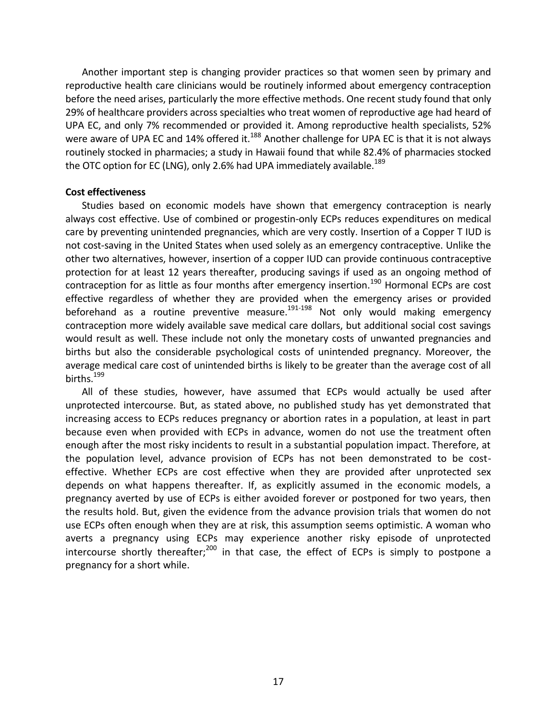Another important step is changing provider practices so that women seen by primary and reproductive health care clinicians would be routinely informed about emergency contraception before the need arises, particularly the more effective methods. One recent study found that only 29% of healthcare providers across specialties who treat women of reproductive age had heard of UPA EC, and only 7% recommended or provided it. Among reproductive health specialists, 52% were aware of UPA EC and 14% offered it.<sup>188</sup> Another challenge for UPA EC is that it is not always routinely stocked in pharmacies; a study in Hawaii found that while 82.4% of pharmacies stocked the OTC option for EC (LNG), only 2.6% had UPA immediately available.<sup>189</sup>

#### **Cost effectiveness**

Studies based on economic models have shown that emergency contraception is nearly always cost effective. Use of combined or progestin-only ECPs reduces expenditures on medical care by preventing unintended pregnancies, which are very costly. Insertion of a Copper T IUD is not cost-saving in the United States when used solely as an emergency contraceptive. Unlike the other two alternatives, however, insertion of a copper IUD can provide continuous contraceptive protection for at least 12 years thereafter, producing savings if used as an ongoing method of contraception for as little as four months after emergency insertion.<sup>190</sup> Hormonal ECPs are cost effective regardless of whether they are provided when the emergency arises or provided beforehand as a routine preventive measure.191-198 Not only would making emergency contraception more widely available save medical care dollars, but additional social cost savings would result as well. These include not only the monetary costs of unwanted pregnancies and births but also the considerable psychological costs of unintended pregnancy. Moreover, the average medical care cost of unintended births is likely to be greater than the average cost of all births.<sup>199</sup>

All of these studies, however, have assumed that ECPs would actually be used after unprotected intercourse. But, as stated above, no published study has yet demonstrated that increasing access to ECPs reduces pregnancy or abortion rates in a population, at least in part because even when provided with ECPs in advance, women do not use the treatment often enough after the most risky incidents to result in a substantial population impact. Therefore, at the population level, advance provision of ECPs has not been demonstrated to be costeffective. Whether ECPs are cost effective when they are provided after unprotected sex depends on what happens thereafter. If, as explicitly assumed in the economic models, a pregnancy averted by use of ECPs is either avoided forever or postponed for two years, then the results hold. But, given the evidence from the advance provision trials that women do not use ECPs often enough when they are at risk, this assumption seems optimistic. A woman who averts a pregnancy using ECPs may experience another risky episode of unprotected intercourse shortly thereafter;<sup>200</sup> in that case, the effect of ECPs is simply to postpone a pregnancy for a short while.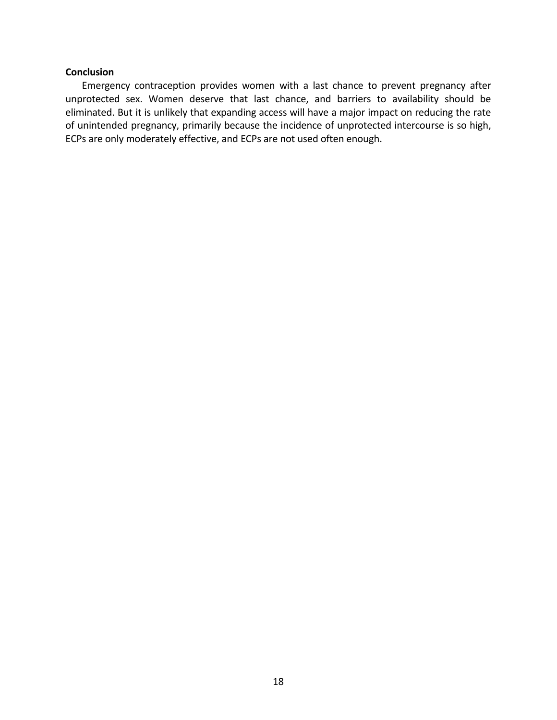### **Conclusion**

Emergency contraception provides women with a last chance to prevent pregnancy after unprotected sex. Women deserve that last chance, and barriers to availability should be eliminated. But it is unlikely that expanding access will have a major impact on reducing the rate of unintended pregnancy, primarily because the incidence of unprotected intercourse is so high, ECPs are only moderately effective, and ECPs are not used often enough.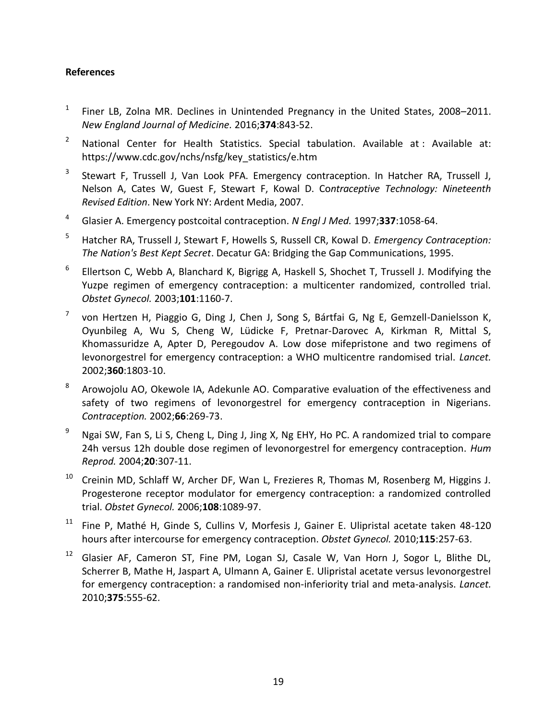## **References**

- 1 Finer LB, Zolna MR. Declines in Unintended Pregnancy in the United States, 2008–2011. *New England Journal of Medicine.* 2016;**374**:843-52.
- <sup>2</sup> National Center for Health Statistics. Special tabulation. Available at : Available at: https://www.cdc.gov/nchs/nsfg/key\_statistics/e.htm
- 3 Stewart F, Trussell J, Van Look PFA. Emergency contraception. In Hatcher RA, Trussell J, Nelson A, Cates W, Guest F, Stewart F, Kowal D. Co*ntraceptive Technology: Nineteenth Revised Edition*. New York NY: Ardent Media, 2007.
- <sup>4</sup> Glasier A. Emergency postcoital contraception. *N Engl J Med.* 1997;**337**:1058-64.
- <sup>5</sup> Hatcher RA, Trussell J, Stewart F, Howells S, Russell CR, Kowal D. *Emergency Contraception: The Nation's Best Kept Secret*. Decatur GA: Bridging the Gap Communications, 1995.
- 6 Ellertson C, Webb A, Blanchard K, Bigrigg A, Haskell S, Shochet T, Trussell J. Modifying the Yuzpe regimen of emergency contraception: a multicenter randomized, controlled trial. *Obstet Gynecol.* 2003;**101**:1160-7.
- 7 von Hertzen H, Piaggio G, Ding J, Chen J, Song S, Bártfai G, Ng E, Gemzell-Danielsson K, Oyunbileg A, Wu S, Cheng W, Lüdicke F, Pretnar-Darovec A, Kirkman R, Mittal S, Khomassuridze A, Apter D, Peregoudov A. Low dose mifepristone and two regimens of levonorgestrel for emergency contraception: a WHO multicentre randomised trial. *Lancet.* 2002;**360**:1803-10.
- 8 Arowojolu AO, Okewole IA, Adekunle AO. Comparative evaluation of the effectiveness and safety of two regimens of levonorgestrel for emergency contraception in Nigerians. *Contraception.* 2002;**66**:269-73.
- <sup>9</sup> Ngai SW, Fan S, Li S, Cheng L, Ding J, Jing X, Ng EHY, Ho PC. A randomized trial to compare 24h versus 12h double dose regimen of levonorgestrel for emergency contraception. *Hum Reprod.* 2004;**20**:307-11.
- <sup>10</sup> Creinin MD, Schlaff W, Archer DF, Wan L, Frezieres R, Thomas M, Rosenberg M, Higgins J. Progesterone receptor modulator for emergency contraception: a randomized controlled trial. *Obstet Gynecol.* 2006;**108**:1089-97.
- <sup>11</sup> Fine P, Mathé H, Ginde S, Cullins V, Morfesis J, Gainer E. Ulipristal acetate taken 48-120 hours after intercourse for emergency contraception. *Obstet Gynecol.* 2010;**115**:257-63.
- <sup>12</sup> Glasier AF, Cameron ST, Fine PM, Logan SJ, Casale W, Van Horn J, Sogor L, Blithe DL, Scherrer B, Mathe H, Jaspart A, Ulmann A, Gainer E. Ulipristal acetate versus levonorgestrel for emergency contraception: a randomised non-inferiority trial and meta-analysis. *Lancet.* 2010;**375**:555-62.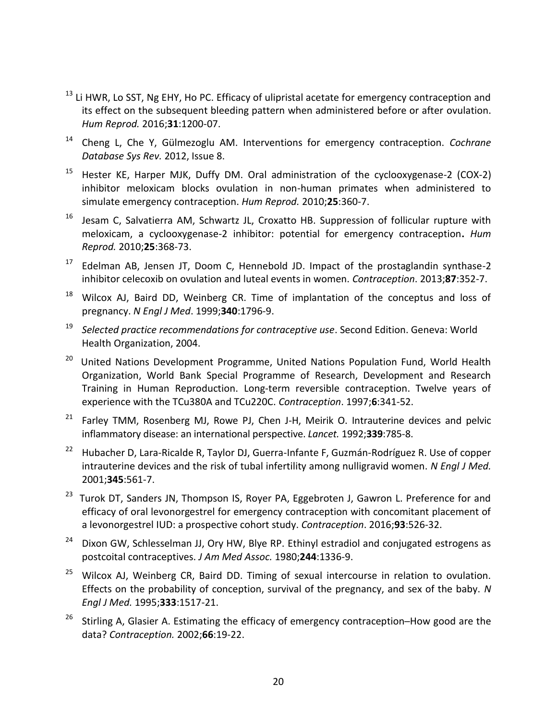- <sup>13</sup> Li HWR, Lo SST, Ng EHY, Ho PC. Efficacy of ulipristal acetate for emergency contraception and its effect on the subsequent bleeding pattern when administered before or after ovulation. *Hum Reprod.* 2016;**31**:1200-07.
- <sup>14</sup> Cheng L, Che Y, Gülmezoglu AM. Interventions for emergency contraception. *Cochrane Database Sys Rev.* 2012, Issue 8.
- <sup>15</sup> Hester KE, Harper MJK, Duffy DM. Oral administration of the cyclooxygenase-2 (COX-2) inhibitor meloxicam blocks ovulation in non-human primates when administered to simulate emergency contraception. *Hum Reprod.* 2010;**25**:360-7.
- $16$  Jesam C, Salvatierra AM, Schwartz JL, Croxatto HB. Suppression of follicular rupture with meloxicam, a cyclooxygenase-2 inhibitor: potential for emergency contraception**.** *Hum Reprod.* 2010;**25**:368-73.
- <sup>17</sup> Edelman AB, Jensen JT, Doom C, Hennebold JD. Impact of the prostaglandin synthase-2 inhibitor celecoxib on ovulation and luteal events in women. *Contraception*. 2013;**87**:352-7.
- <sup>18</sup> Wilcox AJ, Baird DD, Weinberg CR. Time of implantation of the conceptus and loss of pregnancy. *N Engl J Med*. 1999;**340**:1796-9.
- <sup>19</sup> *Selected practice recommendations for contraceptive use*. Second Edition. Geneva: World Health Organization, 2004.
- <sup>20</sup> United Nations Development Programme, United Nations Population Fund, World Health Organization, World Bank Special Programme of Research, Development and Research Training in Human Reproduction. Long-term reversible contraception. Twelve years of experience with the TCu380A and TCu220C. *Contraception*. 1997;**6**:341-52.
- $21$  Farley TMM, Rosenberg MJ, Rowe PJ, Chen J-H, Meirik O. Intrauterine devices and pelvic inflammatory disease: an international perspective. *Lancet.* 1992;**339**:785-8.
- <sup>22</sup> Hubacher D, Lara-Ricalde R, Taylor DJ, Guerra-Infante F, Guzmán-Rodríguez R. Use of copper intrauterine devices and the risk of tubal infertility among nulligravid women. *N Engl J Med.* 2001;**345**:561-7.
- <sup>23</sup> Turok DT, Sanders JN, Thompson IS, Royer PA, Eggebroten J, Gawron L. Preference for and efficacy of oral levonorgestrel for emergency contraception with concomitant placement of a levonorgestrel IUD: a prospective cohort study. *Contraception*. 2016;**93**:526-32.
- $24$  Dixon GW, Schlesselman JJ, Ory HW, Blye RP. Ethinyl estradiol and conjugated estrogens as postcoital contraceptives. *J Am Med Assoc.* 1980;**244**:1336-9.
- $25$  Wilcox AJ, Weinberg CR, Baird DD. Timing of sexual intercourse in relation to ovulation. Effects on the probability of conception, survival of the pregnancy, and sex of the baby. *N Engl J Med.* 1995;**333**:1517-21.
- <sup>26</sup> Stirling A, Glasier A. Estimating the efficacy of emergency contraception-How good are the data? *Contraception.* 2002;**66**:19-22.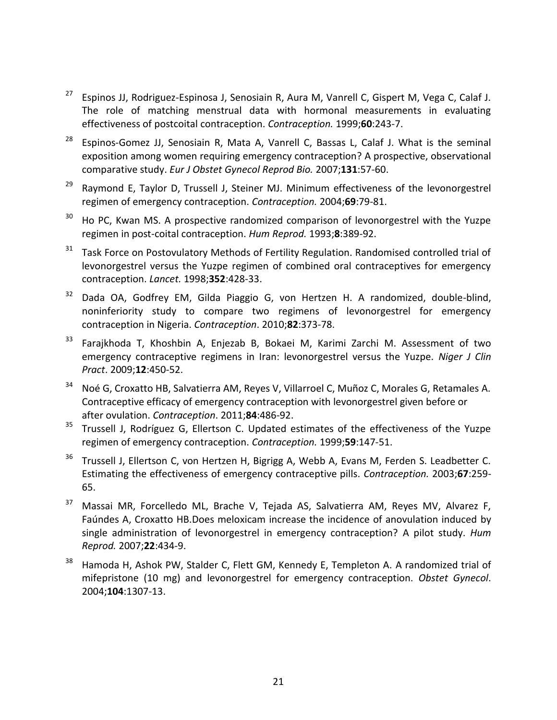- <sup>27</sup> [Espinos JJ, Rodriguez-Espinosa J, Senosiain R, Aura M, Vanrell C, Gispert M, Vega C, Calaf J.](http://www.ncbi.nlm.nih.gov/sites/entrez?Db=pubmed&Cmd=ShowDetailView&TermToSearch=10640171&ordinalpos=1&itool=EntrezSystem2.PEntrez.Pubmed.Pubmed_ResultsPanel.Pubmed_RVDocSum) The role of matching menstrual data with hormonal measurements in evaluating effectiveness of postcoital contraception. *Contraception.* 1999;**60**:243-7.
- <sup>28</sup> [Espinos-Gomez JJ,](http://www.ncbi.nlm.nih.gov/entrez/query.fcgi?db=pubmed&cmd=Search&itool=pubmed_AbstractPlus&term=%22Espinos%2DGomez+JJ%22%5BAuthor%5D) [Senosiain R,](http://www.ncbi.nlm.nih.gov/entrez/query.fcgi?db=pubmed&cmd=Search&itool=pubmed_AbstractPlus&term=%22Senosiain+R%22%5BAuthor%5D) [Mata A,](http://www.ncbi.nlm.nih.gov/entrez/query.fcgi?db=pubmed&cmd=Search&itool=pubmed_AbstractPlus&term=%22Mata+A%22%5BAuthor%5D) [Vanrell C,](http://www.ncbi.nlm.nih.gov/entrez/query.fcgi?db=pubmed&cmd=Search&itool=pubmed_AbstractPlus&term=%22Vanrell+C%22%5BAuthor%5D) [Bassas L,](http://www.ncbi.nlm.nih.gov/entrez/query.fcgi?db=pubmed&cmd=Search&itool=pubmed_AbstractPlus&term=%22Bassas+L%22%5BAuthor%5D) [Calaf J.](http://www.ncbi.nlm.nih.gov/entrez/query.fcgi?db=pubmed&cmd=Search&itool=pubmed_AbstractPlus&term=%22Calaf+J%22%5BAuthor%5D) What is the seminal exposition among women requiring emergency contraception? A prospective, observational comparative study. *Eur J Obstet Gynecol Reprod Bio.* 2007;**131**:57-60.
- <sup>29</sup> Raymond E, Taylor D, Trussell J, Steiner MJ. Minimum effectiveness of the levonorgestrel regimen of emergency contraception. *Contraception.* 2004;**69**:79-81.
- <sup>30</sup> Ho PC, Kwan MS. A prospective randomized comparison of levonorgestrel with the Yuzpe regimen in post-coital contraception. *Hum Reprod.* 1993;**8**:389-92.
- $31$  Task Force on Postovulatory Methods of Fertility Regulation. Randomised controlled trial of levonorgestrel versus the Yuzpe regimen of combined oral contraceptives for emergency contraception. *Lancet.* 1998;**352**:428-33.
- $32$  Dada OA, Godfrey EM, Gilda Piaggio G, von Hertzen H. A randomized, double-blind, noninferiority study to compare two regimens of levonorgestrel for emergency contraception in Nigeria. *Contraception*. 2010;**82**:373-78.
- <sup>33</sup> Farajkhoda T, Khoshbin A, Enjezab B, Bokaei M, Karimi Zarchi M. Assessment of two emergency contraceptive regimens in Iran: levonorgestrel versus the Yuzpe*. Niger J Clin Pract*. 2009;**12**:450-52.
- <sup>34</sup> Noé G, Croxatto HB, Salvatierra AM, Reyes V, Villarroel C, Muñoz C, Morales G, Retamales A. Contraceptive efficacy of emergency contraception with levonorgestrel given before or after ovulation. *Contraception*. 2011;**84**:486-92.
- $35$  Trussell J, Rodríguez G, Ellertson C. Updated estimates of the effectiveness of the Yuzpe regimen of emergency contraception. *Contraception.* 1999;**59**:147-51.
- $36$  Trussell J, Ellertson C, von Hertzen H, Bigrigg A, Webb A, Evans M, Ferden S. Leadbetter C. Estimating the effectiveness of emergency contraceptive pills. *Contraception.* 2003;**67**:259- 65.
- <sup>37</sup> [Massai MR, Forcelledo ML, Brache V, Tejada AS, Salvatierra AM, Reyes MV, Alvarez F,](http://www.ncbi.nlm.nih.gov/pubmed/16980507?ordinalpos=1&itool=EntrezSystem2.PEntrez.Pubmed.Pubmed_ResultsPanel.Pubmed_RVDocSum)  [Faúndes A, Croxatto HB.D](http://www.ncbi.nlm.nih.gov/pubmed/16980507?ordinalpos=1&itool=EntrezSystem2.PEntrez.Pubmed.Pubmed_ResultsPanel.Pubmed_RVDocSum)oes meloxicam increase the incidence of anovulation induced by single administration of levonorgestrel in emergency contraception? A pilot study. *Hum Reprod.* 2007;**22**:434-9.
- <sup>38</sup> [Hamoda H, Ashok PW, Stalder C, Flett GM, Kennedy E, Templeton A.](http://www.ncbi.nlm.nih.gov/entrez/query.fcgi?cmd=Retrieve&db=pubmed&dopt=Abstract&list_uids=15572495&query_hl=2) A randomized trial of mifepristone (10 mg) and levonorgestrel for emergency contraception. *Obstet Gynecol*. 2004;**104**:1307-13.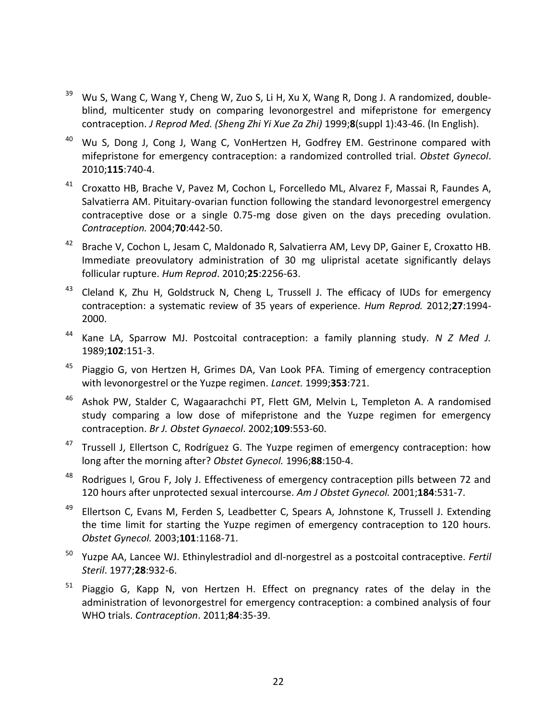- <sup>39</sup> Wu S, Wang C, Wang Y, Cheng W, Zuo S, Li H, Xu X, Wang R, Dong J. A randomized, doubleblind, multicenter study on comparing levonorgestrel and mifepristone for emergency contraception. *J Reprod Med. (Sheng Zhi Yi Xue Za Zhi)* 1999;**8**(suppl 1):43-46. (In English).
- $40$  Wu S, Dong J, Cong J, Wang C, VonHertzen H, Godfrey EM. Gestrinone compared with mifepristone for emergency contraception: a randomized controlled trial. *Obstet Gynecol*. 2010;**115**:740-4.
- <sup>41</sup> Croxatto HB, Brache V, Pavez M, Cochon L, Forcelledo ML, Alvarez F, Massai R, Faundes A, Salvatierra AM. Pituitary-ovarian function following the standard levonorgestrel emergency contraceptive dose or a single 0.75-mg dose given on the days preceding ovulation. *Contraception.* 2004;**70**:442-50.
- <sup>42</sup> Brache V, Cochon L, Jesam C, Maldonado R, Salvatierra AM, Levy DP, Gainer E, Croxatto HB. Immediate preovulatory administration of 30 mg ulipristal acetate significantly delays follicular rupture. *Hum Reprod*. 2010;**25**:2256-63.
- 43 Cleland K, Zhu H, Goldstruck N, Cheng L, Trussell J. The efficacy of IUDs for emergency contraception: a systematic review of 35 years of experience. *Hum Reprod.* 2012;**27**:1994- 2000.
- <sup>44</sup> Kane LA, Sparrow MJ. Postcoital contraception: a family planning study. *N Z Med J.* 1989;**102**:151-3.
- <sup>45</sup> Piaggio G, von Hertzen H, Grimes DA, Van Look PFA. Timing of emergency contraception with levonorgestrel or the Yuzpe regimen. *Lancet.* 1999;**353**:721.
- <sup>46</sup> [Ashok PW,](http://www.ncbi.nlm.nih.gov/entrez/query.fcgi?db=pubmed&cmd=Search&term=%22Ashok+PW%22%5BAuthor%5D) [Stalder C,](http://www.ncbi.nlm.nih.gov/entrez/query.fcgi?db=pubmed&cmd=Search&term=%22Stalder+C%22%5BAuthor%5D) [Wagaarachchi PT,](http://www.ncbi.nlm.nih.gov/entrez/query.fcgi?db=pubmed&cmd=Search&term=%22Wagaarachchi+PT%22%5BAuthor%5D) [Flett GM,](http://www.ncbi.nlm.nih.gov/entrez/query.fcgi?db=pubmed&cmd=Search&term=%22Flett+GM%22%5BAuthor%5D) [Melvin L,](http://www.ncbi.nlm.nih.gov/entrez/query.fcgi?db=pubmed&cmd=Search&term=%22Melvin+L%22%5BAuthor%5D) [Templeton A.](http://www.ncbi.nlm.nih.gov/entrez/query.fcgi?db=pubmed&cmd=Search&term=%22Templeton+A%22%5BAuthor%5D) A randomised study comparing a low dose of mifepristone and the Yuzpe regimen for emergency contraception. *Br J. Obstet Gynaecol*. 2002;**109**:553-60.
- <sup>47</sup> Trussell J, Ellertson C, Rodríguez G. The Yuzpe regimen of emergency contraception: how long after the morning after? *Obstet Gynecol.* 1996;**88**:150-4.
- <sup>48</sup> Rodrigues I, Grou F, Joly J. Effectiveness of emergency contraception pills between 72 and 120 hours after unprotected sexual intercourse. *Am J Obstet Gynecol.* 2001;**184**:531-7.
- <sup>49</sup> Ellertson C, Evans M, Ferden S, Leadbetter C, Spears A, Johnstone K, Trussell J. Extending the time limit for starting the Yuzpe regimen of emergency contraception to 120 hours. *Obstet Gynecol.* 2003;**101**:1168-71.
- <sup>50</sup> Yuzpe AA, Lancee WJ. Ethinylestradiol and dl-norgestrel as a postcoital contraceptive. *Fertil Steril*. 1977;**28**:932-6.
- <sup>51</sup> Piaggio G, Kapp N, von Hertzen H. Effect on pregnancy rates of the delay in the administration of levonorgestrel for emergency contraception: a combined analysis of four WHO trials. *Contraception*. 2011;**84**:35-39.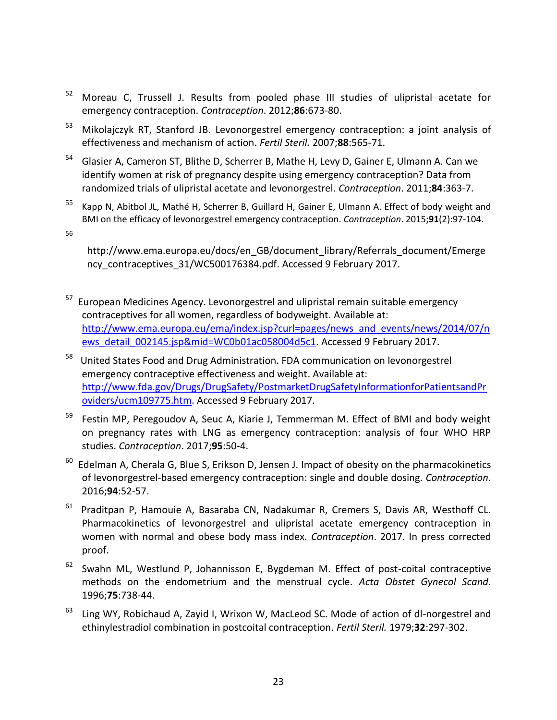- <sup>52</sup> Moreau C, Trussell J. Results from pooled phase III studies of ulipristal acetate for emergency contraception. *Contraception*. 2012;**86**:673-80.
- <sup>53</sup> [Mikolajczyk RT, Stanford JB.](http://www.ncbi.nlm.nih.gov/pubmed/17320877?ordinalpos=2&itool=EntrezSystem2.PEntrez.Pubmed.Pubmed_ResultsPanel.Pubmed_RVDocSum) Levonorgestrel emergency contraception: a joint analysis of effectiveness and mechanism of action. *Fertil Steril.* 2007;**88**:565-71.
- <sup>54</sup> Glasier A, Cameron ST, Blithe D, Scherrer B, Mathe H, Levy D, Gainer E, Ulmann A. Can we identify women at risk of pregnancy despite using emergency contraception? Data from randomized trials of ulipristal acetate and levonorgestrel. *Contraception*. 2011;**84**:363-7.
- $55$  Kapp N, Abitbol JL, Mathé H, Scherrer B, Guillard H, Gainer E, Ulmann A. Effect of body weight and BMI on the efficacy of levonorgestrel emergency contraception. *Contraception*. 2015;**91**(2):97-104.

56

http://www.ema.europa.eu/docs/en\_GB/document\_library/Referrals\_document/Emerge ncy\_contraceptives\_31/WC500176384.pdf. Accessed 9 February 2017.

- <sup>57</sup> European Medicines Agency. Levonorgestrel and ulipristal remain suitable emergency contraceptives for all women, regardless of bodyweight. Available at: [http://www.ema.europa.eu/ema/index.jsp?curl=pages/news\\_and\\_events/news/2014/07/n](http://www.ema.europa.eu/ema/index.jsp?curl=pages/news_and_events/news/2014/07/news_detail_002145.jsp&mid=WC0b01ac058004d5c1) [ews\\_detail\\_002145.jsp&mid=WC0b01ac058004d5c1.](http://www.ema.europa.eu/ema/index.jsp?curl=pages/news_and_events/news/2014/07/news_detail_002145.jsp&mid=WC0b01ac058004d5c1) Accessed 9 February 2017.
- 58 United States Food and Drug Administration. FDA communication on levonorgestrel emergency contraceptive effectiveness and weight. Available at: [http://www.fda.gov/Drugs/DrugSafety/PostmarketDrugSafetyInformationforPatientsandPr](http://www.fda.gov/Drugs/DrugSafety/PostmarketDrugSafetyInformationforPatientsandProviders/ucm109775.htm) [oviders/ucm109775.htm.](http://www.fda.gov/Drugs/DrugSafety/PostmarketDrugSafetyInformationforPatientsandProviders/ucm109775.htm) Accessed 9 February 2017.
- $59$  Festin MP, Peregoudov A, Seuc A, Kiarie J, Temmerman M. Effect of BMI and body weight on pregnancy rates with LNG as emergency contraception: analysis of four WHO HRP studies. *Contraception*. 2017;**95**:50-4.
- $60$  Edelman A, Cherala G, Blue S, Erikson D, Jensen J. Impact of obesity on the pharmacokinetics of levonorgestrel-based emergency contraception: single and double dosing. *Contraception*. 2016;**94**:52-57.
- <sup>61</sup> Praditpan P, Hamouie A, Basaraba CN, Nadakumar R, Cremers S, Davis AR, Westhoff CL. Pharmacokinetics of levonorgestrel and ulipristal acetate emergency contraception in women with normal and obese body mass index. *Contraception*. 2017. In press corrected proof.
- $62$  Swahn ML, Westlund P, Johannisson E, Bygdeman M. Effect of post-coital contraceptive methods on the endometrium and the menstrual cycle. *Acta Obstet Gynecol Scand.* 1996;**75**:738-44.
- $63$  Ling WY, Robichaud A, Zayid I, Wrixon W, MacLeod SC. Mode of action of dl-norgestrel and ethinylestradiol combination in postcoital contraception. *Fertil Steril.* 1979;**32**:297-302.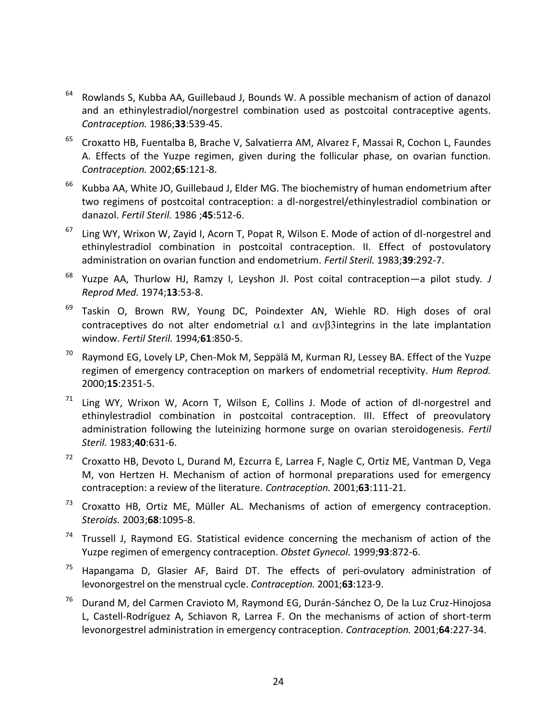- $64$  Rowlands S, Kubba AA, Guillebaud J, Bounds W. A possible mechanism of action of danazol and an ethinylestradiol/norgestrel combination used as postcoital contraceptive agents. *Contraception.* 1986;**33**:539-45.
- <sup>65</sup> Croxatto HB, Fuentalba B, Brache V, Salvatierra AM, Alvarez F, Massai R, Cochon L, Faundes A. Effects of the Yuzpe regimen, given during the follicular phase, on ovarian function. *Contraception.* 2002;**65**:121-8.
- $66$  Kubba AA, White JO, Guillebaud J, Elder MG. The biochemistry of human endometrium after two regimens of postcoital contraception: a dl-norgestrel/ethinylestradiol combination or danazol. *Fertil Steril.* 1986 ;**45**:512-6.
- $67$  Ling WY, Wrixon W, Zayid I, Acorn T, Popat R, Wilson E. Mode of action of dl-norgestrel and ethinylestradiol combination in postcoital contraception. II. Effect of postovulatory administration on ovarian function and endometrium. *Fertil Steril.* 1983;**39**:292-7.
- <sup>68</sup> Yuzpe AA, Thurlow HJ, Ramzy I, Leyshon JI. Post coital contraception—a pilot study*. J Reprod Med.* 1974;**13**:53-8.
- $69$  Taskin O, Brown RW, Young DC, Poindexter AN, Wiehle RD. High doses of oral contraceptives do not alter endometrial  $\alpha$ 1 and  $\alpha$ v $\beta$ 3 integrins in the late implantation window. *Fertil Steril.* 1994*;***61**:850-5.
- $70$  Raymond EG, Lovely LP, Chen-Mok M, Seppälä M, Kurman RJ, Lessey BA. Effect of the Yuzpe regimen of emergency contraception on markers of endometrial receptivity. *Hum Reprod.* 2000;**15**:2351-5.
- <sup>71</sup> Ling WY, Wrixon W, Acorn T, Wilson E, Collins J. Mode of action of dl-norgestrel and ethinylestradiol combination in postcoital contraception. III. Effect of preovulatory administration following the luteinizing hormone surge on ovarian steroidogenesis. *Fertil Steril.* 1983;**40**:631-6.
- $72$  Croxatto HB, Devoto L, Durand M, Ezcurra E, Larrea F, Nagle C, Ortiz ME, Vantman D, Vega M, von Hertzen H. Mechanism of action of hormonal preparations used for emergency contraception: a review of the literature. *Contraception.* 2001;**63**:111-21.
- $73$  Croxatto HB, Ortiz ME, Müller AL. Mechanisms of action of emergency contraception. *Steroids.* 2003;**68**:1095-8.
- $74$  Trussell J, Raymond EG. Statistical evidence concerning the mechanism of action of the Yuzpe regimen of emergency contraception. *Obstet Gynecol.* 1999;**93**:872-6.
- $75$  Hapangama D, Glasier AF, Baird DT. The effects of peri-ovulatory administration of levonorgestrel on the menstrual cycle. *Contraception.* 2001;**63**:123-9.
- <sup>76</sup> Durand M, del Carmen Cravioto M, Raymond EG, Durán-Sánchez O, De la Luz Cruz-Hinojosa L, Castell-Rodríguez A, Schiavon R, Larrea F. On the mechanisms of action of short-term levonorgestrel administration in emergency contraception. *Contraception.* 2001;**64**:227-34.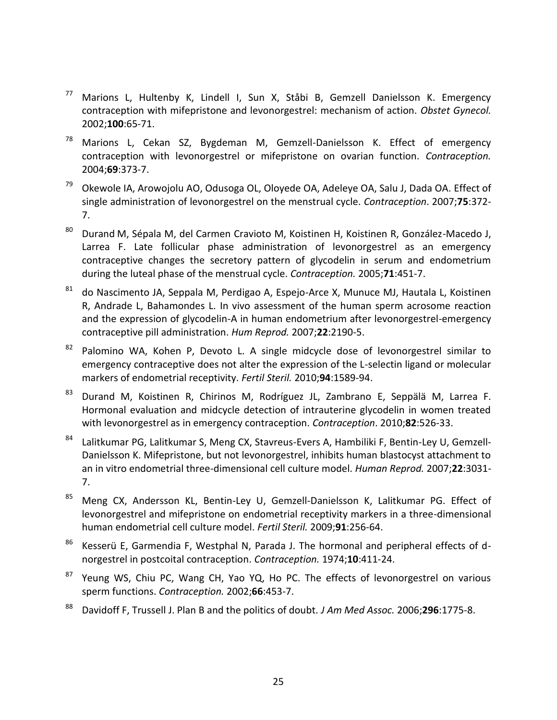- <sup>77</sup> Marions L, Hultenby K, Lindell I, Sun X, Ståbi B, Gemzell Danielsson K. Emergency contraception with mifepristone and levonorgestrel: mechanism of action. *Obstet Gynecol.* 2002;**100**:65-71.
- <sup>78</sup> Marions L, Cekan SZ, Bygdeman M, Gemzell-Danielsson K. Effect of emergency contraception with levonorgestrel or mifepristone on ovarian function. *Contraception.* 2004;**69**:373-7.
- <sup>79</sup> Okewole IA, Arowojolu AO, Odusoga OL, Oloyede OA, Adeleye OA, Salu J, Dada OA. Effect of single administration of levonorgestrel on the menstrual cycle. *Contraception*. 2007;**75**:372- 7.
- <sup>80</sup> Durand M, Sépala M, del Carmen Cravioto M, Koistinen H, Koistinen R, González-Macedo J, Larrea F. Late follicular phase administration of levonorgestrel as an emergency contraceptive changes the secretory pattern of glycodelin in serum and endometrium during the luteal phase of the menstrual cycle. *Contraception.* 2005;**71**:451-7.
- $81$  do Nascimento JA, Seppala M, Perdigao A, Espejo-Arce X, Munuce MJ, Hautala L, Koistinen [R, Andrade L, Bahamondes L.](http://www.ncbi.nlm.nih.gov/sites/entrez?Db=pubmed&Cmd=ShowDetailView&TermToSearch=17537781&ordinalpos=7&itool=EntrezSystem2.PEntrez.Pubmed.Pubmed_ResultsPanel.Pubmed_RVDocSum) In vivo assessment of the human sperm acrosome reaction and the expression of glycodelin-A in human endometrium after levonorgestrel-emergency contraceptive pill administration. *Hum Reprod.* 2007;**22**:2190-5.
- $82$  Palomino WA, Kohen P, Devoto L. A single midcycle dose of levonorgestrel similar to emergency contraceptive does not alter the expression of the L-selectin ligand or molecular markers of endometrial receptivity. *Fertil Steril.* 2010;**94**:1589-94.
- <sup>83</sup> Durand M, Koistinen R, Chirinos M, Rodríguez JL, Zambrano E, Seppälä M, Larrea F. Hormonal evaluation and midcycle detection of intrauterine glycodelin in women treated with levonorgestrel as in emergency contraception. *Contraception*. 2010;**82**:526-33.
- 84 Lalitkumar PG, Lalitkumar S, Meng CX, Stavreus-Evers A, Hambiliki F, Bentin-Ley U, Gemzell-Danielsson K. Mifepristone, but not levonorgestrel, inhibits human blastocyst attachment to an in vitro endometrial three-dimensional cell culture model. *Human Reprod.* 2007;**22**:3031- 7.
- <sup>85</sup> [Meng CX, Andersson KL, Bentin-Ley U, Gemzell-Danielsson K, Lalitkumar PG.](http://www.ncbi.nlm.nih.gov/pubmed/18206148?ordinalpos=1&itool=EntrezSystem2.PEntrez.Pubmed.Pubmed_ResultsPanel.Pubmed_RVDocSum) Effect of levonorgestrel and mifepristone on endometrial receptivity markers in a three-dimensional human endometrial cell culture model. *Fertil Steril.* 2009;**91**:256-64.
- $86$  Kesserü E, Garmendia F, Westphal N, Parada J. The hormonal and peripheral effects of dnorgestrel in postcoital contraception. *Contraception.* 1974;**10**:411-24.
- <sup>87</sup> Yeung WS, Chiu PC, Wang CH, Yao YQ, Ho PC. The effects of levonorgestrel on various sperm functions. *Contraception.* 2002;**66**:453-7.
- <sup>88</sup> Davidoff F, Trussell J. Plan B and the politics of doubt. *J Am Med Assoc.* 2006;**296**:1775-8.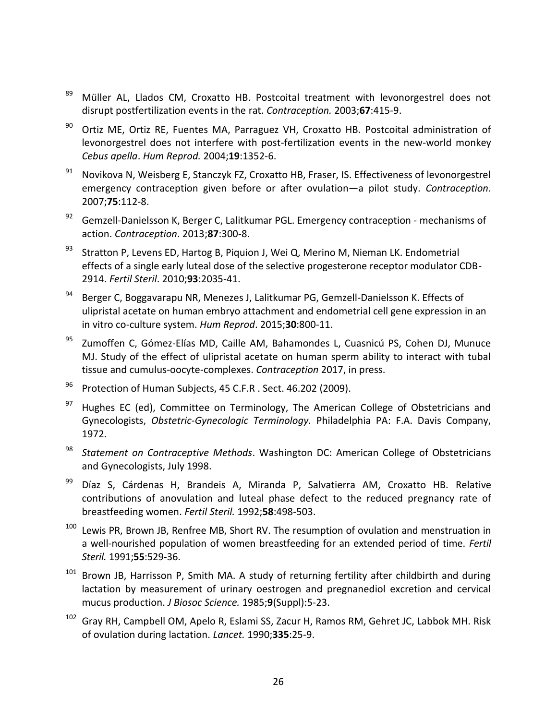- <sup>89</sup> Müller AL, Llados CM, Croxatto HB. Postcoital treatment with levonorgestrel does not disrupt postfertilization events in the rat. *Contraception.* 2003;**67**:415-9.
- $90$  Ortiz ME, Ortiz RE, Fuentes MA, Parraguez VH, Croxatto HB. Postcoital administration of levonorgestrel does not interfere with post-fertilization events in the new-world monkey *Cebus apella*. *Hum Reprod.* 2004;**19**:1352-6.
- $91$  Novikova N, Weisberg E, Stanczyk FZ, Croxatto HB, Fraser, IS. Effectiveness of levonorgestrel emergency contraception given before or after ovulation―a pilot study. *Contraception*. 2007;**75**:112-8.
- $92$  Gemzell-Danielsson K, Berger C, Lalitkumar PGL. Emergency contraception mechanisms of action. *Contraception*. 2013;**87**:300-8.
- <sup>93</sup> Stratton P, Levens ED, Hartog B, Piquion J, Wei Q, Merino M, Nieman LK. Endometrial effects of a single early luteal dose of the selective progesterone receptor modulator CDB-2914. *Fertil Steril*. 2010;**93**:2035-41.
- 94 Berger C, Boggavarapu NR, Menezes J, Lalitkumar PG, Gemzell-Danielsson K. Effects of ulipristal acetate on human embryo attachment and endometrial cell gene expression in an in vitro co-culture system. *Hum Reprod*. 2015;**30**:800-11.
- 95 Zumoffen C, Gómez-Elías MD, Caille AM, Bahamondes L, Cuasnicú PS, Cohen DJ, Munuce MJ. Study of the effect of ulipristal acetate on human sperm ability to interact with tubal tissue and cumulus-oocyte-complexes. *Contraception* 2017, in press.
- <sup>96</sup> Protection of Human Subjects, 45 C.F.R . Sect. 46.202 (2009).
- $97$  Hughes EC (ed), Committee on Terminology, The American College of Obstetricians and Gynecologists, *Obstetric-Gynecologic Terminology.* Philadelphia PA: F.A. Davis Company, 1972.
- <sup>98</sup> *Statement on Contraceptive Methods*. Washington DC: American College of Obstetricians and Gynecologists, July 1998.
- <sup>99</sup> Díaz S, Cárdenas H, Brandeis A, Miranda P, Salvatierra AM, Croxatto HB. Relative contributions of anovulation and luteal phase defect to the reduced pregnancy rate of breastfeeding women. *Fertil Steril.* 1992;**58**:498-503.
- $100$  Lewis PR, Brown JB, Renfree MB, Short RV. The resumption of ovulation and menstruation in a well-nourished population of women breastfeeding for an extended period of time. *Fertil Steril.* 1991;**55**:529-36.
- $101$  Brown JB, Harrisson P, Smith MA. A study of returning fertility after childbirth and during lactation by measurement of urinary oestrogen and pregnanediol excretion and cervical mucus production. *J Biosoc Science.* 1985;**9**(Suppl):5-23.
- <sup>102</sup> Gray RH, Campbell OM, Apelo R, Eslami SS, Zacur H, Ramos RM, Gehret JC, Labbok MH. Risk of ovulation during lactation. *Lancet.* 1990;**335**:25-9.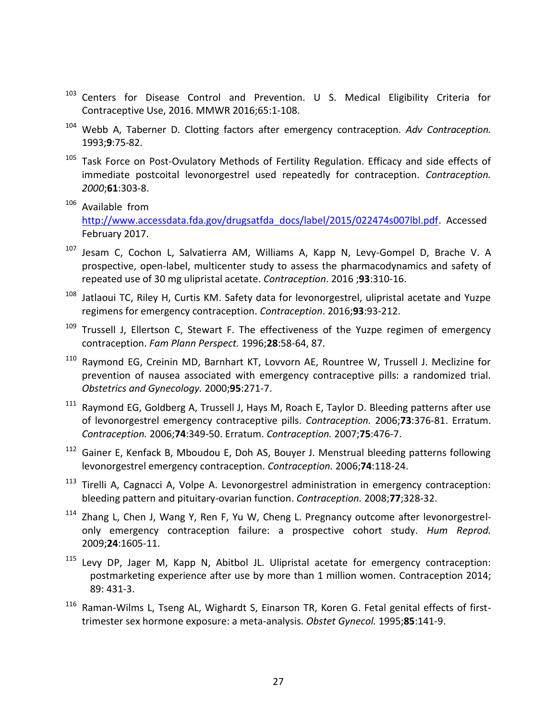- <sup>103</sup> Centers for Disease Control and Prevention. U S. Medical Eligibility Criteria for Contraceptive Use, 2016. MMWR 2016;65:1-108.
- <sup>104</sup> Webb A, Taberner D. Clotting factors after emergency contraception. *Adv Contraception.* 1993;**9**:75-82.
- <sup>105</sup> Task Force on Post-Ovulatory Methods of Fertility Regulation. Efficacy and side effects of immediate postcoital levonorgestrel used repeatedly for contraception. *Contraception. 2000*;**61**:303-8.
- <sup>106</sup> Available from [http://www.accessdata.fda.gov/drugsatfda\\_docs/label/2015/022474s007lbl.pdf.](http://www.accessdata.fda.gov/drugsatfda_docs/label/2015/022474s007lbl.pdf) Accessed February 2017.
- <sup>107</sup> Jesam C, Cochon L, Salvatierra AM, Williams A, Kapp N, Levy-Gompel D, Brache V. A prospective, open-label, multicenter study to assess the pharmacodynamics and safety of repeated use of 30 mg ulipristal acetate. *Contraception*. 2016 ;**93**:310-16.
- <sup>108</sup> Jatlaoui TC, Riley H, Curtis KM. Safety data for levonorgestrel, ulipristal acetate and Yuzpe regimens for emergency contraception. *Contraception*. 2016;**93**:93-212.
- $109$  Trussell J, Ellertson C, Stewart F. The effectiveness of the Yuzpe regimen of emergency contraception. *Fam Plann Perspect.* 1996;**28**:58-64, 87.
- <sup>110</sup> Raymond EG, Creinin MD, Barnhart KT, Lovvorn AE, Rountree W, Trussell J. Meclizine for prevention of nausea associated with emergency contraceptive pills: a randomized trial. *Obstetrics and Gynecology.* 2000;**95**:271-7.
- <sup>111</sup> Raymond EG, Goldberg A, Trussell J, Hays M, Roach E, Taylor D. Bleeding patterns after use of levonorgestrel emergency contraceptive pills. *Contraception.* 2006;**73**:376-81. Erratum. *Contraception.* 2006;**74**:349-50. Erratum. *Contraception.* 2007;**75**:476-7.
- <sup>112</sup> Gainer E, Kenfack B, Mboudou E, Doh AS, Bouyer J. Menstrual bleeding patterns following levonorgestrel emergency contraception. *Contraception.* 2006;**74**:118-24.
- <sup>113</sup> Tirelli A, Cagnacci A, Volpe A. Levonorgestrel administration in emergency contraception: bleeding pattern and pituitary-ovarian function. *Contraception.* 2008;**77**;328-32.
- <sup>114</sup> Zhang L, Chen J, Wang Y, Ren F, Yu W, Cheng L. Pregnancy outcome after levonorgestrelonly emergency contraception failure: a prospective cohort study. *Hum Reprod.* 2009;**24**:1605-11.
- <sup>115</sup> Levy DP, Jager M, Kapp N, Abitbol JL. Ulipristal acetate for emergency contraception: postmarketing experience after use by more than 1 million women. Contraception 2014; 89: 431-3.
- <sup>116</sup> Raman-Wilms L, Tseng AL, Wighardt S, Einarson TR, Koren G. Fetal genital effects of firsttrimester sex hormone exposure: a meta-analysis. *Obstet Gynecol.* 1995;**85**:141-9.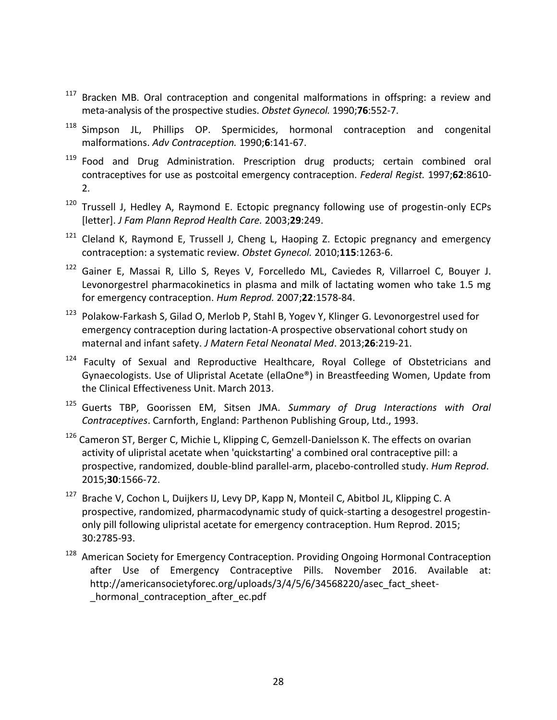- <sup>117</sup> Bracken MB. Oral contraception and congenital malformations in offspring: a review and meta-analysis of the prospective studies. *Obstet Gynecol.* 1990;**76**:552-7.
- <sup>118</sup> Simpson JL, Phillips OP. Spermicides, hormonal contraception and congenital malformations. *Adv Contraception.* 1990;**6**:141-67.
- <sup>119</sup> Food and Drug Administration. Prescription drug products; certain combined oral contraceptives for use as postcoital emergency contraception. *Federal Regist.* 1997;**62**:8610- 2.
- <sup>120</sup> Trussell J, Hedley A, Raymond E. Ectopic pregnancy following use of progestin-only ECPs [letter]. *J Fam Plann Reprod Health Care.* 2003;**29**:249.
- $121$  Cleland K, Raymond E, Trussell J, Cheng L, Haoping Z. Ectopic pregnancy and emergency contraception: a systematic review. *Obstet Gynecol.* 2010;**115**:1263-6.
- <sup>122</sup> [Gainer E, Massai R, Lillo S, Reyes V, Forcelledo ML, Caviedes R, Villarroel C, Bouyer J.](http://www.ncbi.nlm.nih.gov/sites/entrez?Db=pubmed&Cmd=ShowDetailView&TermToSearch=17337471&ordinalpos=1&itool=EntrezSystem2.PEntrez.Pubmed.Pubmed_ResultsPanel.Pubmed_RVDocSum) Levonorgestrel pharmacokinetics in plasma and milk of lactating women who take 1.5 mg for emergency contraception. *Hum Reprod.* 2007;**22**:1578-84.
- <sup>123</sup> Polakow-Farkash S, Gilad O, Merlob P, Stahl B, Yogev Y, Klinger G. Levonorgestrel used for emergency contraception during lactation-A prospective observational cohort study on maternal and infant safety. *J Matern Fetal Neonatal Med*. 2013;**26**:219-21.
- <sup>124</sup> Faculty of Sexual and Reproductive Healthcare, Royal College of Obstetricians and Gynaecologists. Use of Ulipristal Acetate (ellaOne®) in Breastfeeding Women, Update from the Clinical Effectiveness Unit. March 2013.
- <sup>125</sup> Guerts TBP, Goorissen EM, Sitsen JMA. *Summary of Drug Interactions with Oral Contraceptives*. Carnforth, England: Parthenon Publishing Group, Ltd., 1993.
- <sup>126</sup> Cameron ST, Berger C, Michie L, Klipping C, Gemzell-Danielsson K. The effects on ovarian activity of ulipristal acetate when 'quickstarting' a combined oral contraceptive pill: a prospective, randomized, double-blind parallel-arm, placebo-controlled study. *Hum Reprod*. 2015;**30**:1566-72.
- <sup>127</sup> Brache V, Cochon L, Duijkers IJ, Levy DP, Kapp N, Monteil C, Abitbol JL, Klipping C. A prospective, randomized, pharmacodynamic study of quick-starting a desogestrel progestinonly pill following ulipristal acetate for emergency contraception. Hum Reprod. 2015; 30:2785-93.
- <sup>128</sup> American Society for Emergency Contraception. Providing Ongoing Hormonal Contraception after Use of Emergency Contraceptive Pills. November 2016. Available at: http://americansocietyforec.org/uploads/3/4/5/6/34568220/asec\_fact\_sheet hormonal contraception after ec.pdf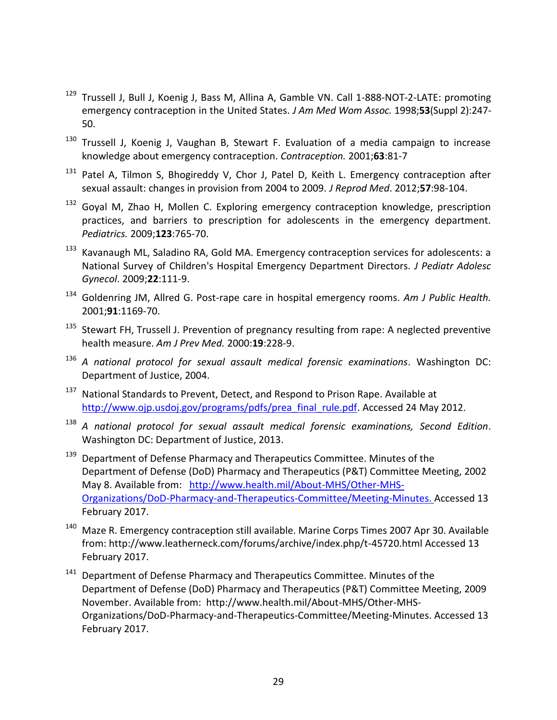- <sup>129</sup> Trussell J, Bull J, Koenig J, Bass M, Allina A, Gamble VN. Call 1-888-NOT-2-LATE: promoting emergency contraception in the United States. *J Am Med Wom Assoc.* 1998;**53**(Suppl 2):247- 50.
- <sup>130</sup> Trussell J, Koenig J, Vaughan B, Stewart F. Evaluation of a media campaign to increase knowledge about emergency contraception. *Contraception.* 2001;**63**:81-7
- <sup>131</sup> Patel A, Tilmon S, Bhogireddy V, Chor J, Patel D, Keith L. Emergency contraception after sexual assault: changes in provision from 2004 to 2009. *J Reprod Med*. 2012;**57**:98-104.
- <sup>132</sup> Goyal M, Zhao H, Mollen C. Exploring emergency contraception knowledge, prescription practices, and barriers to prescription for adolescents in the emergency department. *Pediatrics.* 2009;**123**:765-70.
- 133 Kavanaugh ML, Saladino RA, Gold MA. Emergency contraception services for adolescents: a National Survey of Children's Hospital Emergency Department Directors. *J Pediatr Adolesc Gynecol*. 2009;**22**:111-9.
- <sup>134</sup> Goldenring JM, Allred G. Post-rape care in hospital emergency rooms. *Am J Public Health.* 2001;**91**:1169-70.
- <sup>135</sup> Stewart FH, Trussell J. Prevention of pregnancy resulting from rape: A neglected preventive health measure. *Am J Prev Med.* 2000:**19**:228-9.
- <sup>136</sup> *A national protocol for sexual assault medical forensic examinations*. Washington DC: Department of Justice, 2004.
- <sup>137</sup> National Standards to Prevent, Detect, and Respond to Prison Rape. Available at [http://www.ojp.usdoj.gov/programs/pdfs/prea\\_final\\_rule.pdf.](http://www.ojp.usdoj.gov/programs/pdfs/prea_final_rule.pdf) Accessed 24 May 2012.
- <sup>138</sup> *A national protocol for sexual assault medical forensic examinations, Second Edition*. Washington DC: Department of Justice, 2013.
- <sup>139</sup> Department of Defense Pharmacy and Therapeutics Committee. Minutes of the Department of Defense (DoD) Pharmacy and Therapeutics (P&T) Committee Meeting, 2002 May 8. Available from: [http://www.health.mil/About-MHS/Other-MHS-](http://www.health.mil/About-MHS/Other-MHS-Organizations/DoD-Pharmacy-and-Therapeutics-Committee/Meeting-Minutes.)[Organizations/DoD-Pharmacy-and-Therapeutics-Committee/Meeting-Minutes. A](http://www.health.mil/About-MHS/Other-MHS-Organizations/DoD-Pharmacy-and-Therapeutics-Committee/Meeting-Minutes.)ccessed 13 February 2017.
- <sup>140</sup> Maze R. Emergency contraception still available. Marine Corps Times 2007 Apr 30. Available from: http://www.leatherneck.com/forums/archive/index.php/t-45720.html Accessed 13 February 2017.
- <sup>141</sup> Department of Defense Pharmacy and Therapeutics Committee. Minutes of the Department of Defense (DoD) Pharmacy and Therapeutics (P&T) Committee Meeting, 2009 November. Available from: http://www.health.mil/About-MHS/Other-MHS-Organizations/DoD-Pharmacy-and-Therapeutics-Committee/Meeting-Minutes. Accessed 13 February 2017.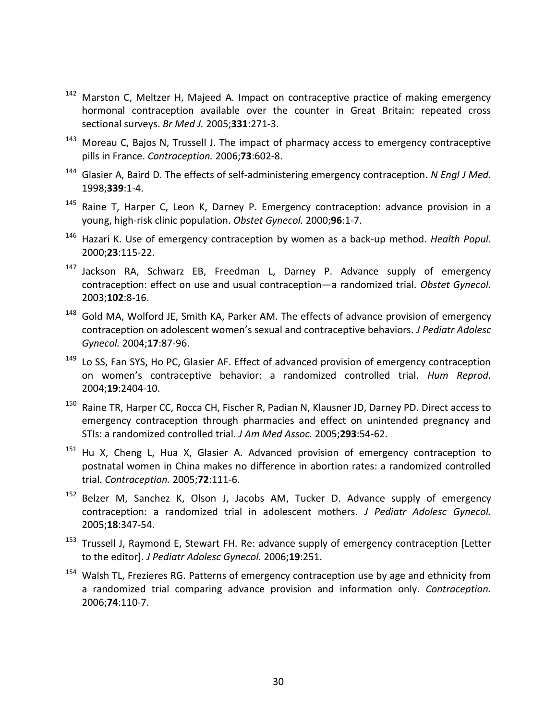- <sup>142</sup> Marston C, Meltzer H, Majeed A. Impact on contraceptive practice of making emergency hormonal contraception available over the counter in Great Britain: repeated cross sectional surveys. *Br Med J.* 2005;**331**:271-3.
- <sup>143</sup> Moreau C, Bajos N, Trussell J. The impact of pharmacy access to emergency contraceptive pills in France. *Contraception.* 2006;**73**:602-8.
- <sup>144</sup> Glasier A, Baird D. The effects of self-administering emergency contraception. *N Engl J Med.* 1998;**339**:1-4.
- <sup>145</sup> Raine T, Harper C, Leon K, Darney P. Emergency contraception: advance provision in a young, high-risk clinic population. *Obstet Gynecol.* 2000;**96**:1-7.
- <sup>146</sup> Hazari K. Use of emergency contraception by women as a back-up method. *Health Popul*. 2000;**23**:115-22.
- <sup>147</sup> Jackson RA, Schwarz EB, Freedman L, Darney P. Advance supply of emergency contraception: effect on use and usual contraception―a randomized trial. *Obstet Gynecol.* 2003;**102**:8-16.
- <sup>148</sup> Gold MA, Wolford JE, Smith KA, Parker AM. The effects of advance provision of emergency contraception on adolescent women's sexual and contraceptive behaviors. *J Pediatr Adolesc Gynecol.* 2004;**17**:87-96.
- <sup>149</sup> Lo SS, Fan SYS, Ho PC, Glasier AF. Effect of advanced provision of emergency contraception on women's contraceptive behavior: a randomized controlled trial. *Hum Reprod.* 2004;**19**:2404-10.
- <sup>150</sup> Raine TR, Harper CC, Rocca CH, Fischer R, Padian N, Klausner JD, Darney PD. Direct access to emergency contraception through pharmacies and effect on unintended pregnancy and STIs: a randomized controlled trial. *J Am Med Assoc.* 2005;**293**:54-62.
- <sup>151</sup> Hu X, Cheng L, Hua X, Glasier A. Advanced provision of emergency contraception to postnatal women in China makes no difference in abortion rates: a randomized controlled trial. *Contraception.* 2005;**72**:111-6.
- <sup>152</sup> [Belzer M,](http://www.ncbi.nlm.nih.gov/entrez/query.fcgi?db=pubmed&cmd=Search&term=%22Belzer+M%22%5BAuthor%5D) [Sanchez K,](http://www.ncbi.nlm.nih.gov/entrez/query.fcgi?db=pubmed&cmd=Search&term=%22Sanchez+K%22%5BAuthor%5D) [Olson J,](http://www.ncbi.nlm.nih.gov/entrez/query.fcgi?db=pubmed&cmd=Search&term=%22Olson+J%22%5BAuthor%5D) [Jacobs AM,](http://www.ncbi.nlm.nih.gov/entrez/query.fcgi?db=pubmed&cmd=Search&term=%22Jacobs+AM%22%5BAuthor%5D) [Tucker D.](http://www.ncbi.nlm.nih.gov/entrez/query.fcgi?db=pubmed&cmd=Search&term=%22Tucker+D%22%5BAuthor%5D) Advance supply of emergency contraception: a randomized trial in adolescent mothers. *J Pediatr Adolesc Gynecol.* 2005;**18**:347-54.
- <sup>153</sup> Trussell J, Raymond E, Stewart FH. Re: advance supply of emergency contraception [Letter to the editor]. *J Pediatr Adolesc Gynecol.* 2006;**19**:251.
- <sup>154</sup> Walsh TL, Frezieres RG. Patterns of emergency contraception use by age and ethnicity from a randomized trial comparing advance provision and information only. *Contraception.* 2006;**74**:110-7.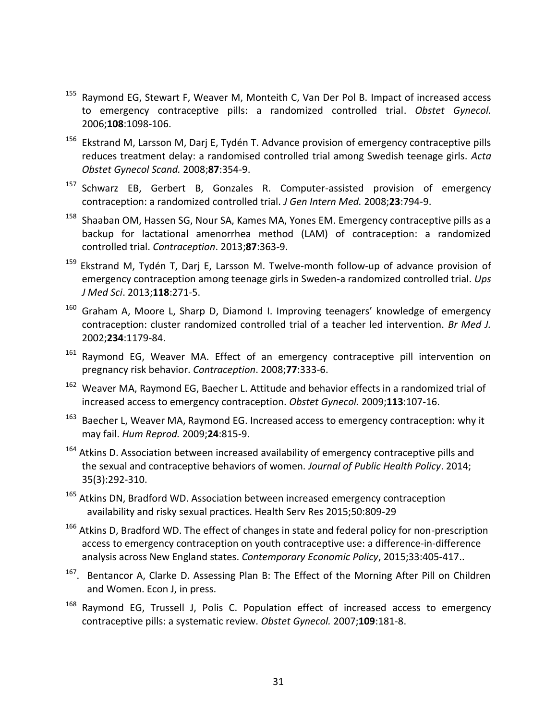- <sup>155</sup> Raymond EG, Stewart F, Weaver M, Monteith C, Van Der Pol B. Impact of increased access to emergency contraceptive pills: a randomized controlled trial. *Obstet Gynecol.* 2006;**108**:1098-106.
- $156$  [Ekstrand M,](http://www.ncbi.nlm.nih.gov/sites/entrez?Db=PubMed&Cmd=Search&Term=%22Ekstrand%20M%22%5BAuthor%5D&itool=EntrezSystem2.PEntrez.Pubmed.Pubmed_ResultsPanel.Pubmed_RVAbstract) [Larsson M,](http://www.ncbi.nlm.nih.gov/sites/entrez?Db=PubMed&Cmd=Search&Term=%22Larsson%20M%22%5BAuthor%5D&itool=EntrezSystem2.PEntrez.Pubmed.Pubmed_ResultsPanel.Pubmed_RVAbstract) [Darj E,](http://www.ncbi.nlm.nih.gov/sites/entrez?Db=PubMed&Cmd=Search&Term=%22Darj%20E%22%5BAuthor%5D&itool=EntrezSystem2.PEntrez.Pubmed.Pubmed_ResultsPanel.Pubmed_RVAbstract) [Tydén T.](http://www.ncbi.nlm.nih.gov/sites/entrez?Db=PubMed&Cmd=Search&Term=%22Tyd%C3%A9n%20T%22%5BAuthor%5D&itool=EntrezSystem2.PEntrez.Pubmed.Pubmed_ResultsPanel.Pubmed_RVAbstract) Advance provision of emergency contraceptive pills reduces treatment delay: a randomised controlled trial among Swedish teenage girls. *[Acta](javascript:AL_get(this,%20)  [Obstet Gynecol Scand.](javascript:AL_get(this,%20)* 2008;**87**:354-9.
- <sup>157</sup> Schwarz EB, Gerbert B, Gonzales R. Computer-assisted provision of emergency contraception: a randomized controlled trial. *J Gen Intern Med.* 2008;**23**:794-9.
- <sup>158</sup> Shaaban OM, Hassen SG, Nour SA, Kames MA, Yones EM. Emergency contraceptive pills as a backup for lactational amenorrhea method (LAM) of contraception: a randomized controlled trial. *Contraception*. 2013;**87**:363-9.
- <sup>159</sup> Ekstrand M, Tydén T, Darj E, Larsson M. Twelve-month follow-up of advance provision of emergency contraception among teenage girls in Sweden-a randomized controlled trial. *Ups J Med Sci*. 2013;**118**:271-5.
- $160$  Graham A, Moore L, Sharp D, Diamond I. Improving teenagers' knowledge of emergency contraception: cluster randomized controlled trial of a teacher led intervention. *Br Med J.* 2002;**234**:1179-84.
- <sup>161</sup> Raymond EG, Weaver MA. Effect of an emergency contraceptive pill intervention on pregnancy risk behavior. *Contraception*. 2008;**77**:333-6.
- <sup>162</sup> Weaver MA, Raymond EG, Baecher L. Attitude and behavior effects in a randomized trial of [increased access to emergency contraception.](http://www.ncbi.nlm.nih.gov/pubmed/19104366?ordinalpos=1&itool=EntrezSystem2.PEntrez.Pubmed.Pubmed_ResultsPanel.Pubmed_DefaultReportPanel.Pubmed_RVDocSum) *Obstet Gynecol.* 2009;**113**:107-16.
- <sup>163</sup> Baecher L, Weaver MA, Raymond EG. Increased access to emergency contraception: why it [may fail.](http://www.ncbi.nlm.nih.gov/pubmed/19095666?ordinalpos=2&itool=EntrezSystem2.PEntrez.Pubmed.Pubmed_ResultsPanel.Pubmed_DefaultReportPanel.Pubmed_RVDocSum) *Hum Reprod.* 2009;**24**:815-9.
- <sup>164</sup> Atkins D. Association between increased availability of emergency contraceptive pills and the sexual and contraceptive behaviors of women. *Journal of Public Health Policy*. 2014; 35(3):292-310.
- <sup>165</sup> Atkins DN, Bradford WD. Association between increased emergency contraception availability and risky sexual practices. Health Serv Res 2015;50:809-29
- <sup>166</sup> Atkins D, Bradford WD. The effect of changes in state and federal policy for non-prescription access to emergency contraception on youth contraceptive use: a difference-in-difference analysis across New England states. *Contemporary Economic Policy*, 2015;33:405-417..
- <sup>167</sup>. Bentancor A, Clarke D. Assessing Plan B: The Effect of the Morning After Pill on Children and Women. Econ J, in press.
- <sup>168</sup> Raymond EG, Trussell J, Polis C. Population effect of increased access to emergency contraceptive pills: a systematic review. *Obstet Gynecol.* 2007;**109**:181-8.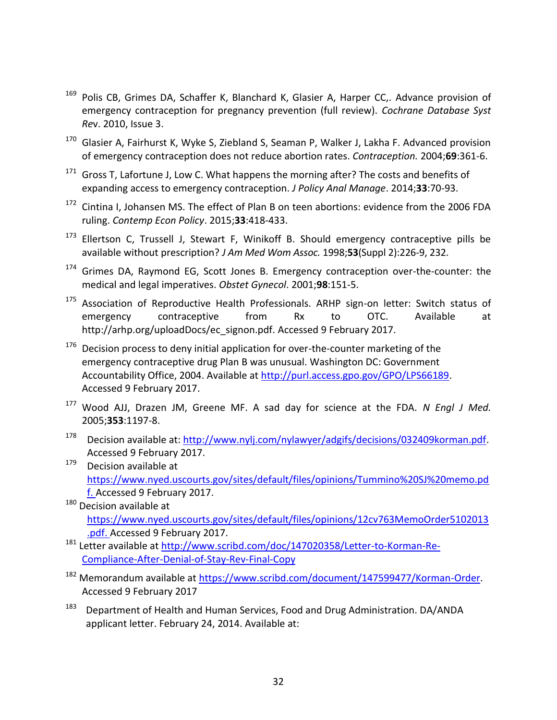- <sup>169</sup> Polis CB, Grimes DA, Schaffer K, Blanchard K, Glasier A, Harper CC,. Advance provision of emergency contraception for pregnancy prevention (full review). *Cochrane Database Syst Re*v. 2010, Issue 3.
- $170$  Glasier A, Fairhurst K, Wyke S, Ziebland S, Seaman P, Walker J, Lakha F. Advanced provision of emergency contraception does not reduce abortion rates. *Contraception.* 2004;**69**:361-6.
- $171$  Gross T, Lafortune J, Low C. What happens the morning after? The costs and benefits of expanding access to emergency contraception. *J Policy Anal Manage*. 2014;**33**:70-93.
- $172$  Cintina I, Johansen MS. The effect of Plan B on teen abortions: evidence from the 2006 FDA ruling. *Contemp Econ Policy*. 2015;**33**:418-433.
- <sup>173</sup> Ellertson C, Trussell J, Stewart F, Winikoff B. Should emergency contraceptive pills be available without prescription? *J Am Med Wom Assoc.* 1998;**53**(Suppl 2):226-9, 232.
- <sup>174</sup> Grimes DA, Raymond EG, Scott Jones B. Emergency contraception over-the-counter: the medical and legal imperatives. *Obstet Gynecol*. 2001;**98**:151-5.
- <sup>175</sup> Association of Reproductive Health Professionals. ARHP sign-on letter: Switch status of emergency contraceptive from Rx to OTC. Available at http://arhp.org/uploadDocs/ec\_signon.pdf. Accessed 9 February 2017.
- $176$  Decision process to deny initial application for over-the-counter marketing of the emergency contraceptive drug Plan B was unusual. Washington DC: Government Accountability Office, 2004. Available at [http://purl.access.gpo.gov/GPO/LPS66189.](http://purl.access.gpo.gov/GPO/LPS66189) Accessed 9 February 2017.
- <sup>177</sup> Wood AJJ, Drazen JM, Greene MF. A sad day for science at the FDA. *N Engl J Med.* 2005;**353**:1197-8.
- <sup>178</sup> Decision available at: [http://www.nylj.com/nylawyer/adgifs/decisions/032409korman.pdf.](http://www.nylj.com/nylawyer/adgifs/decisions/032409korman.pdf) Accessed 9 February 2017.
- <sup>179</sup> Decision available at [https://www.nyed.uscourts.gov/sites/default/files/opinions/Tummino%20SJ%20memo.pd](https://www.nyed.uscourts.gov/sites/default/files/opinions/Tummino%20SJ%20memo.pdf) [f.](https://www.nyed.uscourts.gov/sites/default/files/opinions/Tummino%20SJ%20memo.pdf) Accessed 9 February 2017.
- $180$  Decision available at [https://www.nyed.uscourts.gov/sites/default/files/opinions/12cv763MemoOrder5102013](https://www.nyed.uscourts.gov/sites/default/files/opinions/12cv763MemoOrder5102013.pdf) [.pdf.](https://www.nyed.uscourts.gov/sites/default/files/opinions/12cv763MemoOrder5102013.pdf) Accessed 9 February 2017.
- <sup>181</sup> Letter available at [http://www.scribd.com/doc/147020358/Letter-to-Korman-Re-](http://www.scribd.com/doc/147020358/Letter-to-Korman-Re-Compliance-After-Denial-of-Stay-Rev-Final-Copy)[Compliance-After-Denial-of-Stay-Rev-Final-Copy](http://www.scribd.com/doc/147020358/Letter-to-Korman-Re-Compliance-After-Denial-of-Stay-Rev-Final-Copy)
- <sup>182</sup> Memorandum available at [https://www.scribd.com/document/147599477/Korman-Order.](https://www.scribd.com/document/147599477/Korman-Order) Accessed 9 February 2017
- <sup>183</sup> Department of Health and Human Services, Food and Drug Administration. DA/ANDA applicant letter. February 24, 2014. Available at: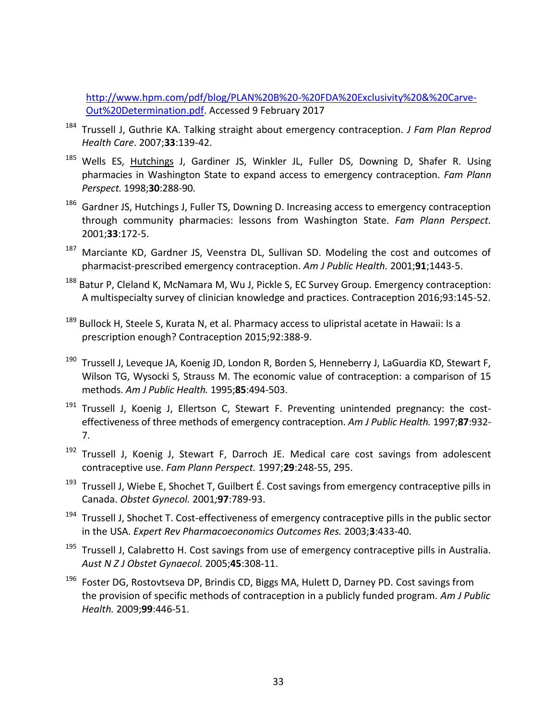[http://www.hpm.com/pdf/blog/PLAN%20B%20-%20FDA%20Exclusivity%20&%20Carve-](http://www.hpm.com/pdf/blog/PLAN%20B%20-%20FDA%20Exclusivity%20&%20Carve-Out%20Determination.pdf)[Out%20Determination.pdf.](http://www.hpm.com/pdf/blog/PLAN%20B%20-%20FDA%20Exclusivity%20&%20Carve-Out%20Determination.pdf) Accessed 9 February 2017

- <sup>184</sup> Trussell J, Guthrie KA. Talking straight about emergency contraception. *J Fam Plan Reprod Health Care*. 2007;**33**:139-42.
- <sup>185</sup> Wells ES, Hutchings J, Gardiner JS, Winkler JL, Fuller DS, Downing D, Shafer R. Using pharmacies in Washington State to expand access to emergency contraception. *Fam Plann Perspect.* 1998;**30**:288-90.
- <sup>186</sup> Gardner JS, Hutchings J, Fuller TS, Downing D. Increasing access to emergency contraception through community pharmacies: lessons from Washington State. *Fam Plann Perspect.* 2001;**33**:172-5.
- <sup>187</sup> Marciante KD, Gardner JS, Veenstra DL, Sullivan SD. Modeling the cost and outcomes of pharmacist-prescribed emergency contraception. *Am J Public Health.* 2001;**91**;1443-5.
- <sup>188</sup> Batur P, Cleland K, McNamara M, Wu J, Pickle S, EC Survey Group. Emergency contraception: A multispecialty survey of clinician knowledge and practices. Contraception 2016;93:145-52.
- <sup>189</sup> Bullock H, Steele S, Kurata N, et al. Pharmacy access to ulipristal acetate in Hawaii: Is a prescription enough? Contraception 2015;92:388-9.
- <sup>190</sup> Trussell J, Leveque JA, Koenig JD, London R, Borden S, Henneberry J, LaGuardia KD, Stewart F, Wilson TG, Wysocki S, Strauss M. The economic value of contraception: a comparison of 15 methods. *Am J Public Health.* 1995;**85**:494-503.
- <sup>191</sup> Trussell J, Koenig J, Ellertson C, Stewart F. Preventing unintended pregnancy: the costeffectiveness of three methods of emergency contraception. *Am J Public Health.* 1997;**87**:932- 7.
- <sup>192</sup> Trussell J, Koenig J, Stewart F, Darroch JE. Medical care cost savings from adolescent contraceptive use. *Fam Plann Perspect.* 1997;**29**:248-55, 295.
- <sup>193</sup> Trussell J, Wiebe E, Shochet T, Guilbert É. Cost savings from emergency contraceptive pills in Canada. *Obstet Gynecol.* 2001*;***97**:789-93.
- <sup>194</sup> Trussell J, Shochet T. Cost-effectiveness of emergency contraceptive pills in the public sector in the USA. *Expert Rev Pharmacoeconomics Outcomes Res.* 2003;**3**:433-40.
- <sup>195</sup> Trussell J, Calabretto H. Cost savings from use of emergency contraceptive pills in Australia. *Aust N Z J Obstet Gynaecol.* 2005;**45**:308-11.
- <sup>196</sup> Foster DG, Rostovtseva DP, Brindis CD, Biggs MA, Hulett D, Darney PD. Cost savings from the provision of specific methods of contraception in a publicly funded program. *Am J Public Health.* 2009;**99**:446-51.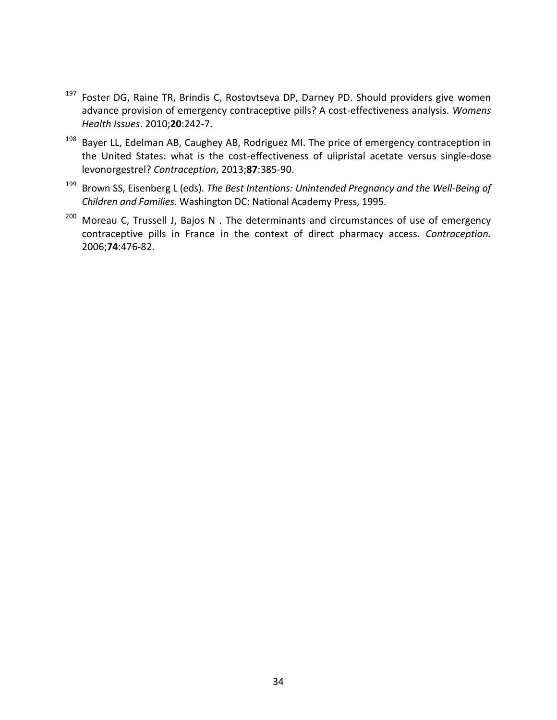- <sup>197</sup> Foster DG, Raine TR, Brindis C, Rostovtseva DP, Darney PD. Should providers give women advance provision of emergency contraceptive pills? A cost-effectiveness analysis. *Womens Health Issues*. 2010;**20**:242-7.
- <sup>198</sup> Bayer LL, Edelman AB, Caughey AB, Rodriguez MI. The price of emergency contraception in the United States: what is the cost-effectiveness of ulipristal acetate versus single-dose levonorgestrel? *Contraception*, 2013;**87**:385-90.
- <sup>199</sup> Brown SS, Eisenberg L (eds). *The Best Intentions: Unintended Pregnancy and the Well-Being of Children and Families*. Washington DC: National Academy Press, 1995.
- $200$  Moreau C, Trussell J, Bajos N . The determinants and circumstances of use of emergency contraceptive pills in France in the context of direct pharmacy access. *Contraception.* 2006;**74**:476-82.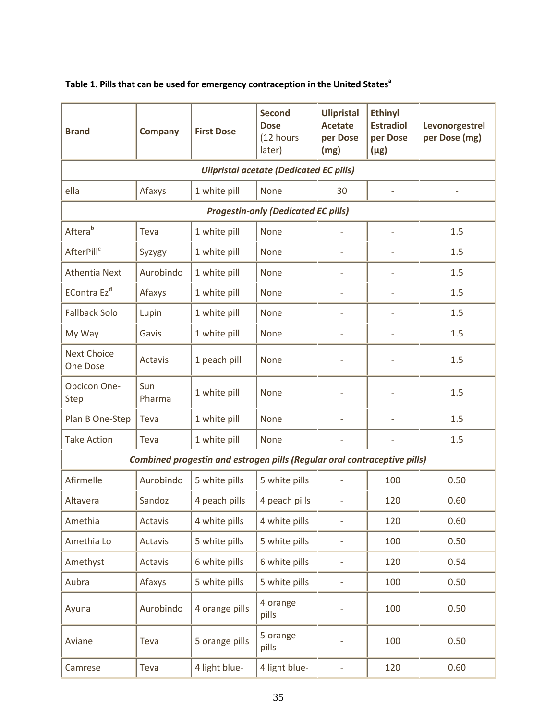| <b>Brand</b>                                                             | <b>Company</b> | <b>First Dose</b> | <b>Second</b><br><b>Dose</b><br>(12 hours<br>later) | <b>Ulipristal</b><br><b>Acetate</b><br>per Dose<br>(mg) | <b>Ethinyl</b><br><b>Estradiol</b><br>per Dose<br>$(\mu$ g) | Levonorgestrel<br>per Dose (mg) |  |  |
|--------------------------------------------------------------------------|----------------|-------------------|-----------------------------------------------------|---------------------------------------------------------|-------------------------------------------------------------|---------------------------------|--|--|
| <b>Ulipristal acetate (Dedicated EC pills)</b>                           |                |                   |                                                     |                                                         |                                                             |                                 |  |  |
| ella                                                                     | Afaxys         | 1 white pill      | None                                                | 30                                                      | $\qquad \qquad -$                                           |                                 |  |  |
| <b>Progestin-only (Dedicated EC pills)</b>                               |                |                   |                                                     |                                                         |                                                             |                                 |  |  |
| Aftera <sup>b</sup>                                                      | Teva           | 1 white pill      | None                                                |                                                         | L,                                                          | 1.5                             |  |  |
| AfterPill <sup>c</sup>                                                   | Syzygy         | 1 white pill      | None                                                | $\overline{\phantom{0}}$                                | $\overline{\phantom{a}}$                                    | 1.5                             |  |  |
| <b>Athentia Next</b>                                                     | Aurobindo      | 1 white pill      | None                                                | $\overline{\phantom{a}}$                                |                                                             | 1.5                             |  |  |
| EContra Ez <sup>d</sup>                                                  | Afaxys         | 1 white pill      | <b>None</b>                                         | $\overline{\phantom{m}}$                                | $\overline{\phantom{0}}$                                    | 1.5                             |  |  |
| <b>Fallback Solo</b>                                                     | Lupin          | 1 white pill      | None                                                | $\overline{a}$                                          | $\overline{a}$                                              | 1.5                             |  |  |
| My Way                                                                   | Gavis          | 1 white pill      | None                                                | $\qquad \qquad -$                                       | $\overline{a}$                                              | 1.5                             |  |  |
| <b>Next Choice</b><br><b>One Dose</b>                                    | <b>Actavis</b> | 1 peach pill      | None                                                |                                                         |                                                             | 1.5                             |  |  |
| Opcicon One-<br><b>Step</b>                                              | Sun<br>Pharma  | 1 white pill      | None                                                |                                                         |                                                             | 1.5                             |  |  |
| Plan B One-Step                                                          | Teva           | 1 white pill      | None                                                | $\qquad \qquad -$                                       | $\overline{\phantom{0}}$                                    | 1.5                             |  |  |
| <b>Take Action</b>                                                       | Teva           | 1 white pill      | None                                                | $\overline{\phantom{m}}$                                | ÷                                                           | 1.5                             |  |  |
| Combined progestin and estrogen pills (Regular oral contraceptive pills) |                |                   |                                                     |                                                         |                                                             |                                 |  |  |
| Afirmelle                                                                | Aurobindo      | 5 white pills     | 5 white pills                                       | $\overline{\phantom{m}}$                                | 100                                                         | 0.50                            |  |  |
| Altavera                                                                 | Sandoz         | 4 peach pills     | 4 peach pills                                       |                                                         | 120                                                         | 0.60                            |  |  |
| Amethia                                                                  | Actavis        | 4 white pills     | 4 white pills                                       | $\overline{\phantom{0}}$                                | 120                                                         | 0.60                            |  |  |
| Amethia Lo                                                               | Actavis        | 5 white pills     | 5 white pills                                       | $\overline{a}$                                          | 100                                                         | 0.50                            |  |  |
| Amethyst                                                                 | Actavis        | 6 white pills     | 6 white pills                                       | $\qquad \qquad -$                                       | 120                                                         | 0.54                            |  |  |
| Aubra                                                                    | Afaxys         | 5 white pills     | 5 white pills                                       | $\qquad \qquad -$                                       | 100                                                         | 0.50                            |  |  |
| Ayuna                                                                    | Aurobindo      | 4 orange pills    | 4 orange<br>pills                                   |                                                         | 100                                                         | 0.50                            |  |  |
| Aviane                                                                   | Teva           | 5 orange pills    | 5 orange<br>pills                                   |                                                         | 100                                                         | 0.50                            |  |  |
| Camrese                                                                  | Teva           | 4 light blue-     | 4 light blue-                                       | $\qquad \qquad -$                                       | 120                                                         | 0.60                            |  |  |

# **Table 1. Pills that can be used for emergency contraception in the United States<sup>a</sup>**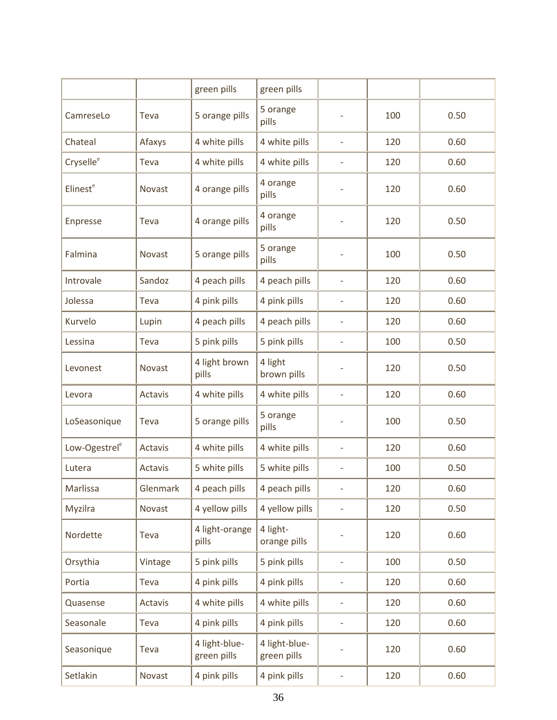|                           |          | green pills                  | green pills                  |                              |     |      |
|---------------------------|----------|------------------------------|------------------------------|------------------------------|-----|------|
| CamreseLo                 | Teva     | 5 orange pills               | 5 orange<br>pills            |                              | 100 | 0.50 |
| Chateal                   | Afaxys   | 4 white pills                | 4 white pills                | $\overline{\phantom{a}}$     | 120 | 0.60 |
| Cryselle <sup>e</sup>     | Teva     | 4 white pills                | 4 white pills                | $\qquad \qquad -$            | 120 | 0.60 |
| Elinest <sup>e</sup>      | Novast   | 4 orange pills               | 4 orange<br>pills            | $\qquad \qquad \blacksquare$ | 120 | 0.60 |
| Enpresse                  | Teva     | 4 orange pills               | 4 orange<br>pills            | $\qquad \qquad \blacksquare$ | 120 | 0.50 |
| Falmina                   | Novast   | 5 orange pills               | 5 orange<br>pills            | $\qquad \qquad -$            | 100 | 0.50 |
| Introvale                 | Sandoz   | 4 peach pills                | 4 peach pills                | $\overline{\phantom{0}}$     | 120 | 0.60 |
| Jolessa                   | Teva     | 4 pink pills                 | 4 pink pills                 | $\qquad \qquad -$            | 120 | 0.60 |
| Kurvelo                   | Lupin    | 4 peach pills                | 4 peach pills                | $\overline{\phantom{0}}$     | 120 | 0.60 |
| Lessina                   | Teva     | 5 pink pills                 | 5 pink pills                 | $\overline{\phantom{0}}$     | 100 | 0.50 |
| Levonest                  | Novast   | 4 light brown<br>pills       | 4 light<br>brown pills       | $\overline{\phantom{0}}$     | 120 | 0.50 |
| Levora                    | Actavis  | 4 white pills                | 4 white pills                | $\overline{\phantom{a}}$     | 120 | 0.60 |
| LoSeasonique              | Teva     | 5 orange pills               | 5 orange<br>pills            | $\overline{a}$               | 100 | 0.50 |
| Low-Ogestrel <sup>e</sup> | Actavis  | 4 white pills                | 4 white pills                | $\qquad \qquad -$            | 120 | 0.60 |
| Lutera                    | Actavis  | 5 white pills                | 5 white pills                | $\overline{\phantom{0}}$     | 100 | 0.50 |
| Marlissa                  | Glenmark | 4 peach pills                | 4 peach pills                | $\overline{\phantom{0}}$     | 120 | 0.60 |
| Myzilra                   | Novast   | 4 yellow pills               | 4 yellow pills               | $\overline{\phantom{0}}$     | 120 | 0.50 |
| Nordette                  | Teva     | 4 light-orange<br>pills      | 4 light-<br>orange pills     |                              | 120 | 0.60 |
| Orsythia                  | Vintage  | 5 pink pills                 | 5 pink pills                 | $\overline{\phantom{0}}$     | 100 | 0.50 |
| Portia                    | Teva     | 4 pink pills                 | 4 pink pills                 | $\qquad \qquad -$            | 120 | 0.60 |
| Quasense                  | Actavis  | 4 white pills                | 4 white pills                | $\qquad \qquad -$            | 120 | 0.60 |
| Seasonale                 | Teva     | 4 pink pills                 | 4 pink pills                 | $\qquad \qquad -$            | 120 | 0.60 |
| Seasonique                | Teva     | 4 light-blue-<br>green pills | 4 light-blue-<br>green pills |                              | 120 | 0.60 |
| Setlakin                  | Novast   | 4 pink pills                 | 4 pink pills                 | $\qquad \qquad -$            | 120 | 0.60 |